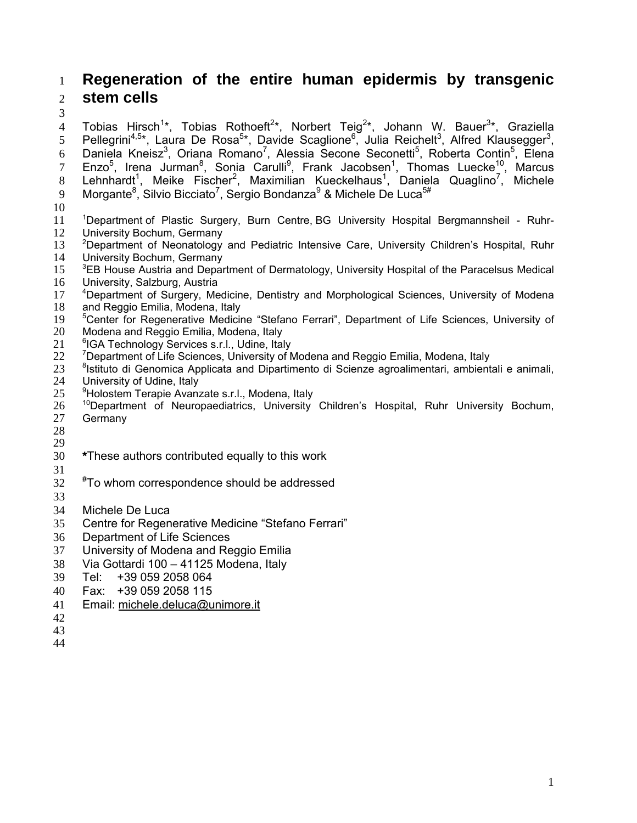# **Regeneration of the entire human epidermis by transgenic stem cells**

4 Tobias Hirsch<sup>1\*</sup>, Tobias Rothoeft<sup>2\*</sup>, Norbert Teig<sup>2\*</sup>, Johann W. Bauer<sup>3\*</sup>, Graziella 5 Pellegrini<sup>4,5\*</sup>, Laura De Rosa<sup>5\*</sup>, Davide Scaglione<sup>6</sup>, Julia Reichelt<sup>3</sup>, Alfred Klausegger<sup>3</sup>, 6 Daniela Kneisz<sup>3</sup>, Oriana Romano<sup>7</sup>, Alessia Secone Seconetti<sup>5</sup>, Roberta Contin<sup>5</sup>, Elena 7 Enzo<sup>5</sup>, Irena Jurman<sup>8</sup>, Sonia Carulli<sup>9</sup>, Frank Jacobsen<sup>1</sup>, Thomas Luecke<sup>10</sup>, Marcus 8 Lehnhardt<sup>1</sup>, Meike Fischer<sup>2</sup>, Maximilian Kueckelhaus<sup>1</sup>, Daniela Quaglino<sup>7</sup>, Michele 9 Morgante<sup>8</sup>, Silvio Bicciato<sup>7</sup>, Sergio Bondanza<sup>9</sup> & Michele De Luca<sup>5#</sup>

- 
- 11 <sup>1</sup>Department of Plastic Surgery, Burn Centre, BG University Hospital Bergmannsheil Ruhr-University Bochum, Germany
- <sup>2</sup> Department of Neonatology and Pediatric Intensive Care, University Children's Hospital, Ruhr<br>14 University Bochum. Germany 14 University Bochum, Germany<br>15 <sup>3</sup>EB House Austria and Depar
- EB House Austria and Department of Dermatology, University Hospital of the Paracelsus Medical University, Salzburg, Austria
- 17 <sup>4</sup> Department of Surgery, Medicine, Dentistry and Morphological Sciences, University of Modena
- and Reggio Emilia, Modena, Italy
- 19 <sup>5</sup> Center for Regenerative Medicine "Stefano Ferrari", Department of Life Sciences, University of 20 Modena and Reggio Emilia, Modena, Italy<br>21 <sup>6</sup> IGA Technology Services s.r.l., Udine, Ital
- <sup>6</sup> 21 <sup>6</sup> CA Technology Services s.r.l., Udine, Italy 22 <sup>7</sup> Department of Life Sciences. University of N
- Department of Life Sciences, University of Modena and Reggio Emilia, Modena, Italy
- 23 <sup>8</sup> Istituto di Genomica Applicata and Dipartimento di Scienze agroalimentari, ambientali e animali,
- 24 University of Udine, Italy<br> $25$  <sup>9</sup>Holostem Terapie Avanz
- <sup>9</sup> Holostem Terapie Avanzate s.r.l., Modena, Italy
- 26 <sup>10</sup> Department of Neuropaediatrics, University Children's Hospital, Ruhr University Bochum, Germany
- 
- 
- **\***These authors contributed equally to this work
- 
- $*$ To whom correspondence should be addressed
- 
- Michele De Luca
- Centre for Regenerative Medicine "Stefano Ferrari"
- Department of Life Sciences
- University of Modena and Reggio Emilia
- Via Gottardi 100 41125 Modena, Italy
- Tel: +39 059 2058 064
- Fax: +39 059 2058 115
- Email: michele.deluca@unimore.it
- 
-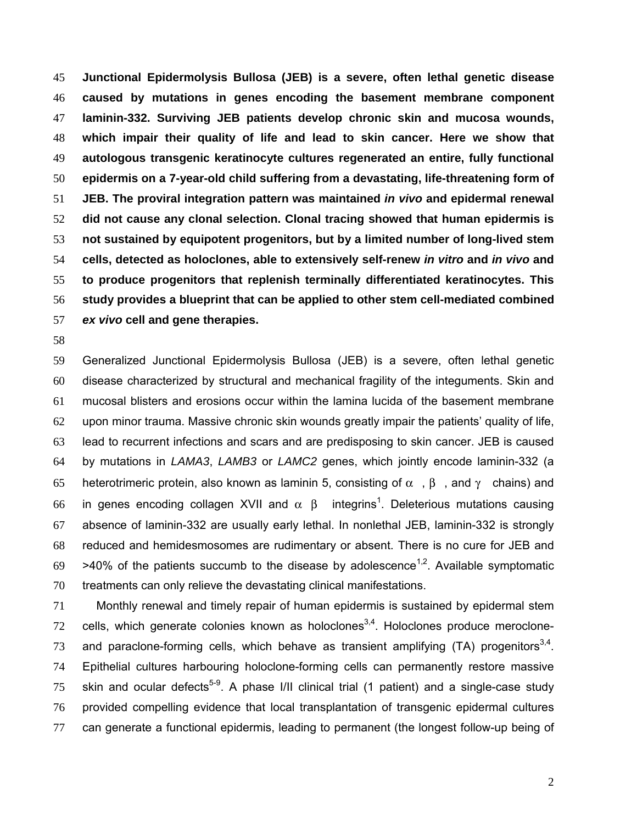**Junctional Epidermolysis Bullosa (JEB) is a severe, often lethal genetic disease caused by mutations in genes encoding the basement membrane component laminin-332. Surviving JEB patients develop chronic skin and mucosa wounds, which impair their quality of life and lead to skin cancer. Here we show that autologous transgenic keratinocyte cultures regenerated an entire, fully functional epidermis on a 7-year-old child suffering from a devastating, life-threatening form of JEB. The proviral integration pattern was maintained** *in vivo* **and epidermal renewal did not cause any clonal selection. Clonal tracing showed that human epidermis is not sustained by equipotent progenitors, but by a limited number of long-lived stem cells, detected as holoclones, able to extensively self-renew** *in vitro* **and** *in vivo* **and to produce progenitors that replenish terminally differentiated keratinocytes. This study provides a blueprint that can be applied to other stem cell-mediated combined** *ex vivo* **cell and gene therapies.** 

Generalized Junctional Epidermolysis Bullosa (JEB) is a severe, often lethal genetic disease characterized by structural and mechanical fragility of the integuments. Skin and mucosal blisters and erosions occur within the lamina lucida of the basement membrane upon minor trauma. Massive chronic skin wounds greatly impair the patients' quality of life, lead to recurrent infections and scars and are predisposing to skin cancer. JEB is caused by mutations in *LAMA3*, *LAMB3* or *LAMC2* genes, which jointly encode laminin-332 (a 65 heterotrimeric protein, also known as laminin 5, consisting of  $\alpha$ ,  $\beta$ , and  $\gamma$  chains) and 66 in genes encoding collagen XVII and  $\alpha$  β integrins<sup>1</sup>. Deleterious mutations causing absence of laminin-332 are usually early lethal. In nonlethal JEB, laminin-332 is strongly reduced and hemidesmosomes are rudimentary or absent. There is no cure for JEB and >40% of the patients succumb to the disease by adolescence<sup>1,2</sup>. Available symptomatic treatments can only relieve the devastating clinical manifestations.

Monthly renewal and timely repair of human epidermis is sustained by epidermal stem cells, which generate colonies known as holoclones<sup>3,4</sup>. Holoclones produce meroclone-73 and paraclone-forming cells, which behave as transient amplifying  $(TA)$  progenitors<sup>3,4</sup>. Epithelial cultures harbouring holoclone-forming cells can permanently restore massive 75 skin and ocular defects<sup>5-9</sup>. A phase I/II clinical trial (1 patient) and a single-case study provided compelling evidence that local transplantation of transgenic epidermal cultures can generate a functional epidermis, leading to permanent (the longest follow-up being of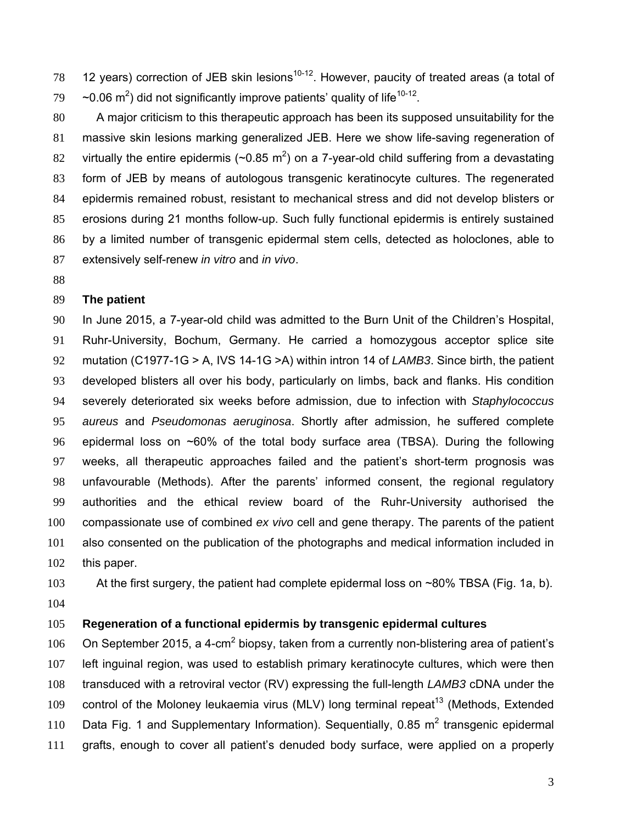78 12 years) correction of JEB skin lesions<sup>10-12</sup>. However, paucity of treated areas (a total of  $\sim$  -0.06 m<sup>2</sup>) did not significantly improve patients' quality of life<sup>10-12</sup>.

A major criticism to this therapeutic approach has been its supposed unsuitability for the massive skin lesions marking generalized JEB. Here we show life-saving regeneration of 82 virtually the entire epidermis ( $\sim$ 0.85 m<sup>2</sup>) on a 7-year-old child suffering from a devastating form of JEB by means of autologous transgenic keratinocyte cultures. The regenerated epidermis remained robust, resistant to mechanical stress and did not develop blisters or erosions during 21 months follow-up. Such fully functional epidermis is entirely sustained by a limited number of transgenic epidermal stem cells, detected as holoclones, able to extensively self-renew *in vitro* and *in vivo*.

### **The patient**

In June 2015, a 7-year-old child was admitted to the Burn Unit of the Children's Hospital, Ruhr-University, Bochum, Germany. He carried a homozygous acceptor splice site mutation (C1977-1G > A, IVS 14-1G >A) within intron 14 of *LAMB3*. Since birth, the patient developed blisters all over his body, particularly on limbs, back and flanks. His condition severely deteriorated six weeks before admission, due to infection with *Staphylococcus aureus* and *Pseudomonas aeruginosa*. Shortly after admission, he suffered complete epidermal loss on ~60% of the total body surface area (TBSA). During the following weeks, all therapeutic approaches failed and the patient's short-term prognosis was unfavourable (Methods). After the parents' informed consent, the regional regulatory authorities and the ethical review board of the Ruhr-University authorised the compassionate use of combined *ex vivo* cell and gene therapy. The parents of the patient also consented on the publication of the photographs and medical information included in this paper.

103 At the first surgery, the patient had complete epidermal loss on ~80% TBSA (Fig. 1a, b). 

### **Regeneration of a functional epidermis by transgenic epidermal cultures**

106 On September 2015, a 4-cm<sup>2</sup> biopsy, taken from a currently non-blistering area of patient's left inguinal region, was used to establish primary keratinocyte cultures, which were then transduced with a retroviral vector (RV) expressing the full-length *LAMB3* cDNA under the 109 control of the Moloney leukaemia virus (MLV) long terminal repeat<sup>13</sup> (Methods, Extended 110 Data Fig. 1 and Supplementary Information). Sequentially, 0.85  $m^2$  transgenic epidermal grafts, enough to cover all patient's denuded body surface, were applied on a properly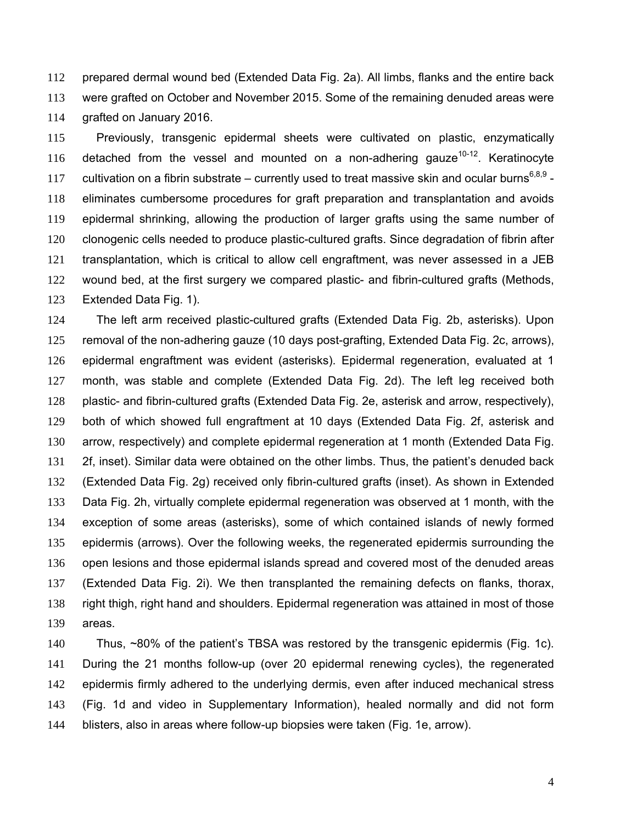prepared dermal wound bed (Extended Data Fig. 2a). All limbs, flanks and the entire back were grafted on October and November 2015. Some of the remaining denuded areas were grafted on January 2016.

Previously, transgenic epidermal sheets were cultivated on plastic, enzymatically 116 detached from the vessel and mounted on a non-adhering gauze<sup>10-12</sup>. Keratinocyte 117 cultivation on a fibrin substrate – currently used to treat massive skin and ocular burns<sup>6,8,9</sup> -eliminates cumbersome procedures for graft preparation and transplantation and avoids epidermal shrinking, allowing the production of larger grafts using the same number of clonogenic cells needed to produce plastic-cultured grafts. Since degradation of fibrin after transplantation, which is critical to allow cell engraftment, was never assessed in a JEB wound bed, at the first surgery we compared plastic- and fibrin-cultured grafts (Methods, Extended Data Fig. 1).

The left arm received plastic-cultured grafts (Extended Data Fig. 2b, asterisks). Upon removal of the non-adhering gauze (10 days post-grafting, Extended Data Fig. 2c, arrows), epidermal engraftment was evident (asterisks). Epidermal regeneration, evaluated at 1 month, was stable and complete (Extended Data Fig. 2d). The left leg received both plastic- and fibrin-cultured grafts (Extended Data Fig. 2e, asterisk and arrow, respectively), both of which showed full engraftment at 10 days (Extended Data Fig. 2f, asterisk and arrow, respectively) and complete epidermal regeneration at 1 month (Extended Data Fig. 2f, inset). Similar data were obtained on the other limbs. Thus, the patient's denuded back (Extended Data Fig. 2g) received only fibrin-cultured grafts (inset). As shown in Extended Data Fig. 2h, virtually complete epidermal regeneration was observed at 1 month, with the exception of some areas (asterisks), some of which contained islands of newly formed epidermis (arrows). Over the following weeks, the regenerated epidermis surrounding the open lesions and those epidermal islands spread and covered most of the denuded areas (Extended Data Fig. 2i). We then transplanted the remaining defects on flanks, thorax, right thigh, right hand and shoulders. Epidermal regeneration was attained in most of those areas.

Thus, ~80% of the patient's TBSA was restored by the transgenic epidermis (Fig. 1c). During the 21 months follow-up (over 20 epidermal renewing cycles), the regenerated epidermis firmly adhered to the underlying dermis, even after induced mechanical stress (Fig. 1d and video in Supplementary Information), healed normally and did not form blisters, also in areas where follow-up biopsies were taken (Fig. 1e, arrow).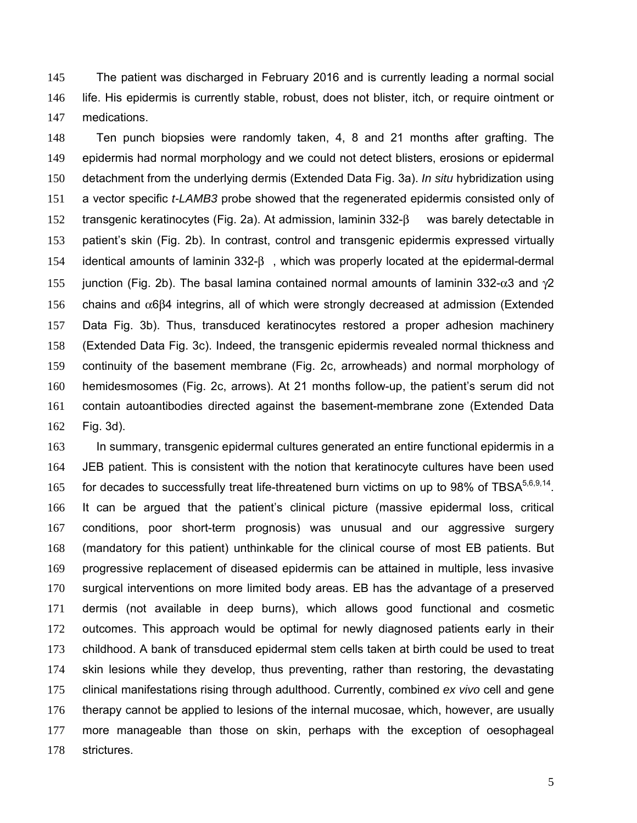The patient was discharged in February 2016 and is currently leading a normal social life. His epidermis is currently stable, robust, does not blister, itch, or require ointment or medications.

Ten punch biopsies were randomly taken, 4, 8 and 21 months after grafting. The epidermis had normal morphology and we could not detect blisters, erosions or epidermal detachment from the underlying dermis (Extended Data Fig. 3a). *In situ* hybridization using a vector specific *t-LAMB3* probe showed that the regenerated epidermis consisted only of 152 transgenic keratinocytes (Fig. 2a). At admission, laminin 332-β was barely detectable in patient's skin (Fig. 2b). In contrast, control and transgenic epidermis expressed virtually 154 identical amounts of laminin 332-β, which was properly located at the epidermal-dermal 155 junction (Fig. 2b). The basal lamina contained normal amounts of laminin 332- $\alpha$ 3 and  $\gamma$ 2 156 chains and  $\alpha$ 6 $\beta$ 4 integrins, all of which were strongly decreased at admission (Extended Data Fig. 3b). Thus, transduced keratinocytes restored a proper adhesion machinery (Extended Data Fig. 3c). Indeed, the transgenic epidermis revealed normal thickness and continuity of the basement membrane (Fig. 2c, arrowheads) and normal morphology of hemidesmosomes (Fig. 2c, arrows). At 21 months follow-up, the patient's serum did not contain autoantibodies directed against the basement-membrane zone (Extended Data Fig. 3d).

In summary, transgenic epidermal cultures generated an entire functional epidermis in a JEB patient. This is consistent with the notion that keratinocyte cultures have been used 165 for decades to successfully treat life-threatened burn victims on up to 98% of TBSA $5,6,9,14$ . It can be argued that the patient's clinical picture (massive epidermal loss, critical conditions, poor short-term prognosis) was unusual and our aggressive surgery (mandatory for this patient) unthinkable for the clinical course of most EB patients. But progressive replacement of diseased epidermis can be attained in multiple, less invasive surgical interventions on more limited body areas. EB has the advantage of a preserved dermis (not available in deep burns), which allows good functional and cosmetic outcomes. This approach would be optimal for newly diagnosed patients early in their childhood. A bank of transduced epidermal stem cells taken at birth could be used to treat skin lesions while they develop, thus preventing, rather than restoring, the devastating clinical manifestations rising through adulthood. Currently, combined *ex vivo* cell and gene therapy cannot be applied to lesions of the internal mucosae, which, however, are usually more manageable than those on skin, perhaps with the exception of oesophageal strictures.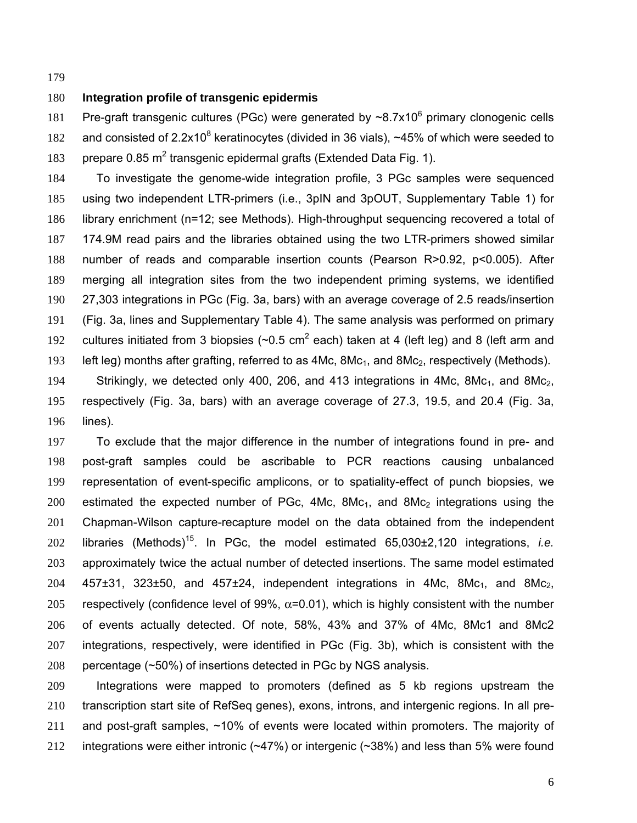### **Integration profile of transgenic epidermis**

181 Pre-graft transgenic cultures (PGc) were generated by  $\sim 8.7 \times 10^6$  primary clonogenic cells 182 and consisted of  $2.2x10^8$  keratinocytes (divided in 36 vials), ~45% of which were seeded to 183 prepare  $0.85$  m<sup>2</sup> transgenic epidermal grafts (Extended Data Fig. 1).

To investigate the genome-wide integration profile, 3 PGc samples were sequenced using two independent LTR-primers (i.e., 3pIN and 3pOUT, Supplementary Table 1) for library enrichment (n=12; see Methods). High-throughput sequencing recovered a total of 174.9M read pairs and the libraries obtained using the two LTR-primers showed similar number of reads and comparable insertion counts (Pearson R>0.92, p<0.005). After merging all integration sites from the two independent priming systems, we identified 27,303 integrations in PGc (Fig. 3a, bars) with an average coverage of 2.5 reads/insertion (Fig. 3a, lines and Supplementary Table 4). The same analysis was performed on primary 192 cultures initiated from 3 biopsies ( $\sim$ 0.5 cm<sup>2</sup> each) taken at 4 (left leg) and 8 (left arm and 193 left leg) months after grafting, referred to as  $4Mc$ ,  $8Mc<sub>1</sub>$ , and  $8Mc<sub>2</sub>$ , respectively (Methods).

194 Strikingly, we detected only 400, 206, and 413 integrations in 4Mc,  $8Mc_{1}$ , and  $8Mc_{2}$ , respectively (Fig. 3a, bars) with an average coverage of 27.3, 19.5, and 20.4 (Fig. 3a, lines).

To exclude that the major difference in the number of integrations found in pre- and post-graft samples could be ascribable to PCR reactions causing unbalanced representation of event-specific amplicons, or to spatiality-effect of punch biopsies, we 200 estimated the expected number of PGc,  $4Mc$ ,  $8Mc$ <sub>1</sub>, and  $8Mc$  integrations using the Chapman-Wilson capture-recapture model on the data obtained from the independent libraries (Methods)<sup>15</sup> . In PGc, the model estimated 65,030±2,120 integrations, *i.e.* approximately twice the actual number of detected insertions. The same model estimated 457 $\pm$ 31, 323 $\pm$ 50, and 457 $\pm$ 24, independent integrations in 4Mc, 8Mc<sub>1</sub>, and 8Mc<sub>2</sub>, 205 respectively (confidence level of 99%,  $\alpha$ =0.01), which is highly consistent with the number of events actually detected. Of note, 58%, 43% and 37% of 4Mc, 8Mc1 and 8Mc2 integrations, respectively, were identified in PGc (Fig. 3b), which is consistent with the percentage (~50%) of insertions detected in PGc by NGS analysis.

Integrations were mapped to promoters (defined as 5 kb regions upstream the transcription start site of RefSeq genes), exons, introns, and intergenic regions. In all pre-and post-graft samples, ~10% of events were located within promoters. The majority of 212 integrations were either intronic ( $\sim$ 47%) or intergenic ( $\sim$ 38%) and less than 5% were found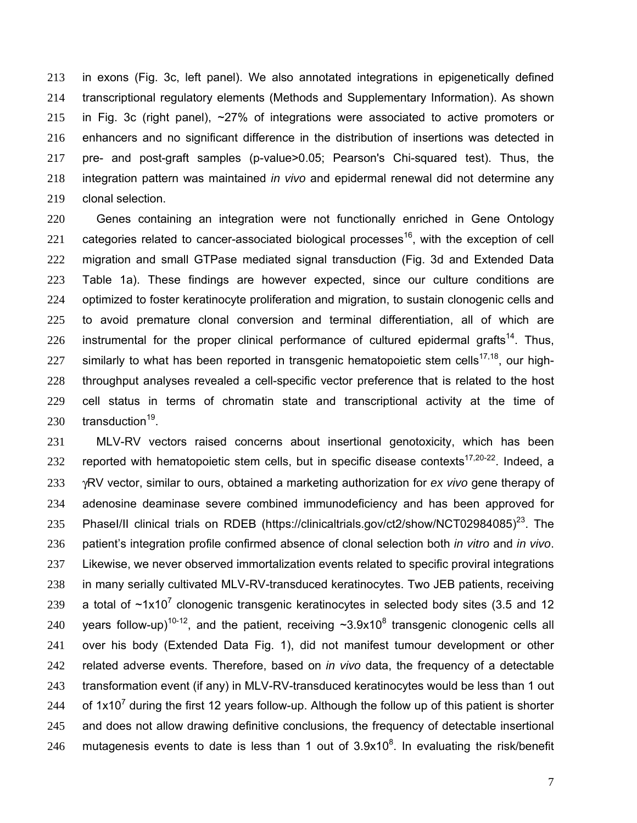in exons (Fig. 3c, left panel). We also annotated integrations in epigenetically defined transcriptional regulatory elements (Methods and Supplementary Information). As shown in Fig. 3c (right panel), ~27% of integrations were associated to active promoters or enhancers and no significant difference in the distribution of insertions was detected in pre- and post-graft samples (p-value>0.05; Pearson's Chi-squared test). Thus, the integration pattern was maintained *in vivo* and epidermal renewal did not determine any clonal selection.

Genes containing an integration were not functionally enriched in Gene Ontology 221 categories related to cancer-associated biological processes<sup>16</sup>, with the exception of cell migration and small GTPase mediated signal transduction (Fig. 3d and Extended Data Table 1a). These findings are however expected, since our culture conditions are optimized to foster keratinocyte proliferation and migration, to sustain clonogenic cells and to avoid premature clonal conversion and terminal differentiation, all of which are 226 instrumental for the proper clinical performance of cultured epidermal grafts<sup>14</sup>. Thus, 227 similarly to what has been reported in transgenic hematopoietic stem cells<sup>17,18</sup>, our high-throughput analyses revealed a cell-specific vector preference that is related to the host cell status in terms of chromatin state and transcriptional activity at the time of  $\cdot$  transduction<sup>19</sup>.

MLV-RV vectors raised concerns about insertional genotoxicity, which has been 232 reported with hematopoietic stem cells, but in specific disease contexts<sup>17,20-22</sup>. Indeed, a γRV vector, similar to ours, obtained a marketing authorization for *ex vivo* gene therapy of adenosine deaminase severe combined immunodeficiency and has been approved for 235 PhaseI/II clinical trials on RDEB (https://clinicaltrials.gov/ct2/show/NCT02984085)<sup>23</sup>. The patient's integration profile confirmed absence of clonal selection both *in vitro* and *in vivo*. Likewise, we never observed immortalization events related to specific proviral integrations in many serially cultivated MLV-RV-transduced keratinocytes. Two JEB patients, receiving 239 a total of  $\sim$ 1x10<sup>7</sup> clonogenic transgenic keratinocytes in selected body sites (3.5 and 12 240 vears follow-up)<sup>10-12</sup>, and the patient, receiving  $\sim$ 3.9x10<sup>8</sup> transgenic clonogenic cells all over his body (Extended Data Fig. 1), did not manifest tumour development or other related adverse events. Therefore, based on *in vivo* data, the frequency of a detectable 243 transformation event (if any) in MLV-RV-transduced keratinocytes would be less than 1 out 244 of  $1x10^7$  during the first 12 years follow-up. Although the follow up of this patient is shorter 245 and does not allow drawing definitive conclusions, the frequency of detectable insertional 246 mutagenesis events to date is less than 1 out of  $3.9x10<sup>8</sup>$ . In evaluating the risk/benefit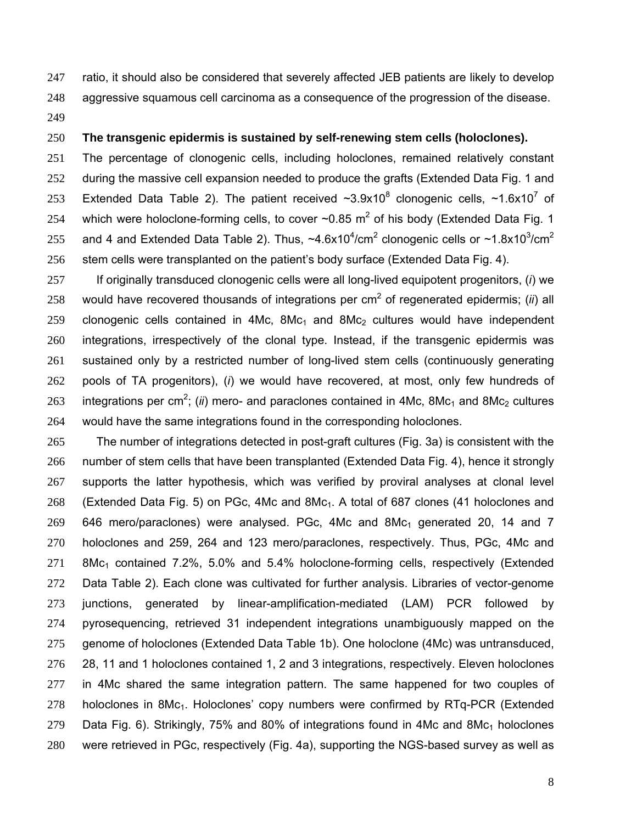ratio, it should also be considered that severely affected JEB patients are likely to develop aggressive squamous cell carcinoma as a consequence of the progression of the disease. 

### **The transgenic epidermis is sustained by self-renewing stem cells (holoclones).**

The percentage of clonogenic cells, including holoclones, remained relatively constant 252 during the massive cell expansion needed to produce the grafts (Extended Data Fig. 1 and 253 Extended Data Table 2). The patient received  $\sim$ 3.9x10<sup>8</sup> clonogenic cells,  $\sim$ 1.6x10<sup>7</sup> of 254 which were holoclone-forming cells, to cover  $\sim 0.85$  m<sup>2</sup> of his body (Extended Data Fig. 1) 255 and 4 and Extended Data Table 2). Thus,  $\sim$ 4.6x10<sup>4</sup>/cm<sup>2</sup> clonogenic cells or  $\sim$ 1.8x10<sup>3</sup>/cm<sup>2</sup> 256 stem cells were transplanted on the patient's body surface (Extended Data Fig. 4).

If originally transduced clonogenic cells were all long-lived equipotent progenitors, (*i*) we 258 would have recovered thousands of integrations per  $cm<sup>2</sup>$  of regenerated epidermis; *(ii*) all 259 clonogenic cells contained in 4Mc,  $8Mc_1$  and  $8Mc_2$  cultures would have independent integrations, irrespectively of the clonal type. Instead, if the transgenic epidermis was sustained only by a restricted number of long-lived stem cells (continuously generating pools of TA progenitors), (*i*) we would have recovered, at most, only few hundreds of 263 integrations per cm<sup>2</sup>; (*ii*) mero- and paraclones contained in 4Mc, 8Mc<sub>1</sub> and 8Mc<sub>2</sub> cultures would have the same integrations found in the corresponding holoclones.

The number of integrations detected in post-graft cultures (Fig. 3a) is consistent with the number of stem cells that have been transplanted (Extended Data Fig. 4), hence it strongly supports the latter hypothesis, which was verified by proviral analyses at clonal level 268 (Extended Data Fig. 5) on PGc, 4Mc and 8Mc<sub>1</sub>. A total of 687 clones (41 holoclones and 646 mero/paraclones) were analysed. PGc, 4Mc and 8Mc<sub>1</sub> generated 20, 14 and 7 holoclones and 259, 264 and 123 mero/paraclones, respectively. Thus, PGc, 4Mc and 271 8Mc<sub>1</sub> contained 7.2%, 5.0% and 5.4% holoclone-forming cells, respectively (Extended Data Table 2). Each clone was cultivated for further analysis. Libraries of vector-genome junctions, generated by linear-amplification-mediated (LAM) PCR followed by pyrosequencing, retrieved 31 independent integrations unambiguously mapped on the genome of holoclones (Extended Data Table 1b). One holoclone (4Mc) was untransduced, 28, 11 and 1 holoclones contained 1, 2 and 3 integrations, respectively. Eleven holoclones in 4Mc shared the same integration pattern. The same happened for two couples of holoclones in 8Mc1. Holoclones' copy numbers were confirmed by RTq-PCR (Extended 279 Data Fig. 6). Strikingly, 75% and 80% of integrations found in 4Mc and 8Mc<sub>1</sub> holoclones were retrieved in PGc, respectively (Fig. 4a), supporting the NGS-based survey as well as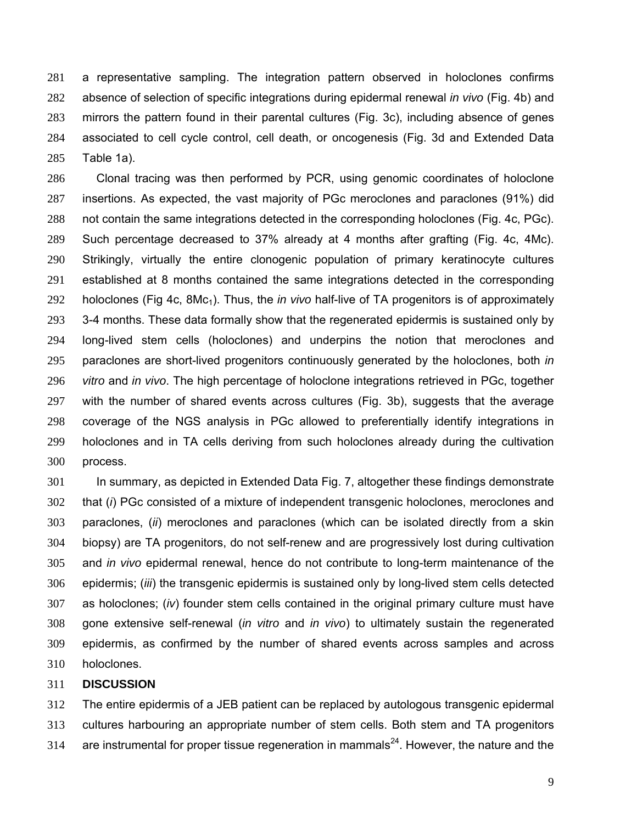a representative sampling. The integration pattern observed in holoclones confirms absence of selection of specific integrations during epidermal renewal *in vivo* (Fig. 4b) and mirrors the pattern found in their parental cultures (Fig. 3c), including absence of genes associated to cell cycle control, cell death, or oncogenesis (Fig. 3d and Extended Data Table 1a).

Clonal tracing was then performed by PCR, using genomic coordinates of holoclone insertions. As expected, the vast majority of PGc meroclones and paraclones (91%) did not contain the same integrations detected in the corresponding holoclones (Fig. 4c, PGc). Such percentage decreased to 37% already at 4 months after grafting (Fig. 4c, 4Mc). Strikingly, virtually the entire clonogenic population of primary keratinocyte cultures established at 8 months contained the same integrations detected in the corresponding holoclones (Fig 4c, 8Mc1). Thus, the *in vivo* half-live of TA progenitors is of approximately 293 3-4 months. These data formally show that the regenerated epidermis is sustained only by long-lived stem cells (holoclones) and underpins the notion that meroclones and paraclones are short-lived progenitors continuously generated by the holoclones, both *in vitro* and *in vivo*. The high percentage of holoclone integrations retrieved in PGc, together with the number of shared events across cultures (Fig. 3b), suggests that the average coverage of the NGS analysis in PGc allowed to preferentially identify integrations in holoclones and in TA cells deriving from such holoclones already during the cultivation process.

In summary, as depicted in Extended Data Fig. 7, altogether these findings demonstrate that (*i*) PGc consisted of a mixture of independent transgenic holoclones, meroclones and paraclones, (*ii*) meroclones and paraclones (which can be isolated directly from a skin biopsy) are TA progenitors, do not self-renew and are progressively lost during cultivation and *in vivo* epidermal renewal, hence do not contribute to long-term maintenance of the epidermis; (*iii*) the transgenic epidermis is sustained only by long-lived stem cells detected as holoclones; (*iv*) founder stem cells contained in the original primary culture must have gone extensive self-renewal (*in vitro* and *in vivo*) to ultimately sustain the regenerated epidermis, as confirmed by the number of shared events across samples and across holoclones.

#### **DISCUSSION**

The entire epidermis of a JEB patient can be replaced by autologous transgenic epidermal cultures harbouring an appropriate number of stem cells. Both stem and TA progenitors 314 are instrumental for proper tissue regeneration in mammals<sup>24</sup>. However, the nature and the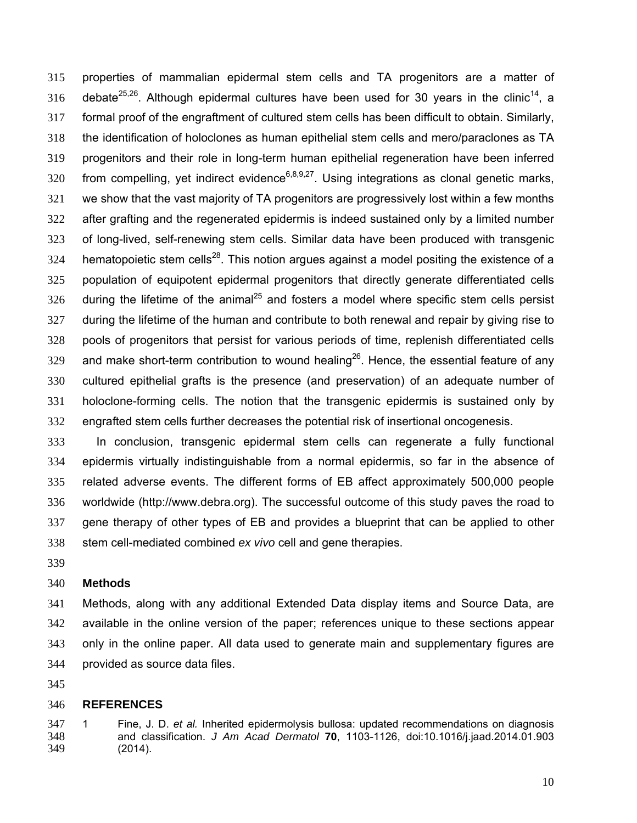properties of mammalian epidermal stem cells and TA progenitors are a matter of 316 debate<sup>25,26</sup>. Although epidermal cultures have been used for 30 years in the clinic<sup>14</sup>, a formal proof of the engraftment of cultured stem cells has been difficult to obtain. Similarly, the identification of holoclones as human epithelial stem cells and mero/paraclones as TA progenitors and their role in long-term human epithelial regeneration have been inferred 320 from compelling, yet indirect evidence<sup>6,8,9,27</sup>. Using integrations as clonal genetic marks, we show that the vast majority of TA progenitors are progressively lost within a few months after grafting and the regenerated epidermis is indeed sustained only by a limited number of long-lived, self-renewing stem cells. Similar data have been produced with transgenic 324 hematopoietic stem cells<sup>28</sup>. This notion argues against a model positing the existence of a population of equipotent epidermal progenitors that directly generate differentiated cells during the lifetime of the animal<sup>25</sup> and fosters a model where specific stem cells persist 327 during the lifetime of the human and contribute to both renewal and repair by giving rise to pools of progenitors that persist for various periods of time, replenish differentiated cells 329 and make short-term contribution to wound healing<sup>26</sup>. Hence, the essential feature of any cultured epithelial grafts is the presence (and preservation) of an adequate number of holoclone-forming cells. The notion that the transgenic epidermis is sustained only by engrafted stem cells further decreases the potential risk of insertional oncogenesis.

In conclusion, transgenic epidermal stem cells can regenerate a fully functional epidermis virtually indistinguishable from a normal epidermis, so far in the absence of related adverse events. The different forms of EB affect approximately 500,000 people worldwide (http://www.debra.org). The successful outcome of this study paves the road to gene therapy of other types of EB and provides a blueprint that can be applied to other stem cell-mediated combined *ex vivo* cell and gene therapies.

### **Methods**

Methods, along with any additional Extended Data display items and Source Data, are available in the online version of the paper; references unique to these sections appear only in the online paper. All data used to generate main and supplementary figures are provided as source data files.

#### **REFERENCES**

1 Fine, J. D. *et al.* Inherited epidermolysis bullosa: updated recommendations on diagnosis and classification. *J Am Acad Dermatol* **70**, 1103-1126, doi:10.1016/j.jaad.2014.01.903 (2014).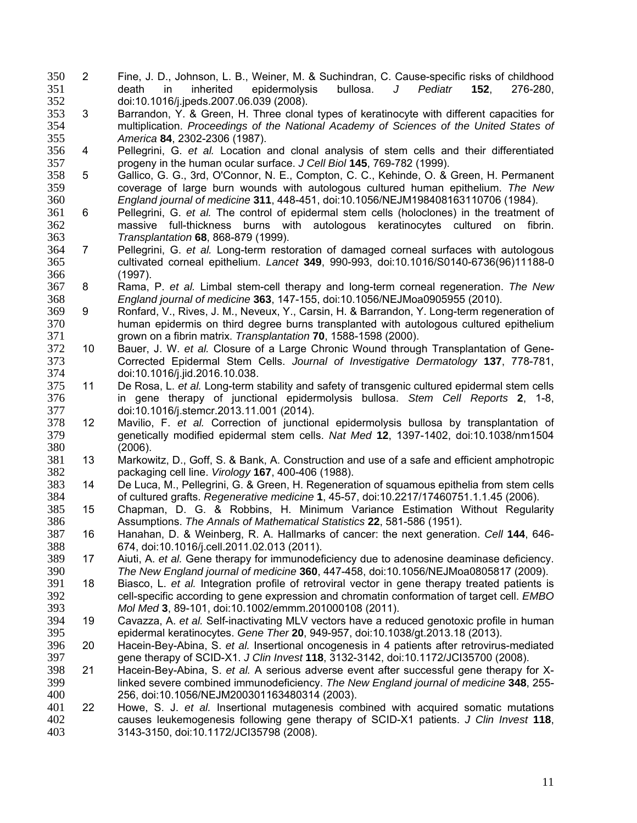- 2 Fine, J. D., Johnson, L. B., Weiner, M. & Suchindran, C. Cause-specific risks of childhood death in inherited epidermolysis bullosa. *J Pediatr* **152**, 276-280, doi:10.1016/j.jpeds.2007.06.039 (2008).
- 3 Barrandon, Y. & Green, H. Three clonal types of keratinocyte with different capacities for multiplication. *Proceedings of the National Academy of Sciences of the United States of America* **84**, 2302-2306 (1987).
- 4 Pellegrini, G. *et al.* Location and clonal analysis of stem cells and their differentiated progeny in the human ocular surface. *J Cell Biol* **145**, 769-782 (1999).
- 358 5 Gallico, G. G., 3rd, O'Connor, N. E., Compton, C. C., Kehinde, O. & Green, H. Permanent<br>359 coverage of large burn wounds with autologous cultured human epithelium. The New coverage of large burn wounds with autologous cultured human epithelium. *The New England journal of medicine* **311**, 448-451, doi:10.1056/NEJM198408163110706 (1984).
- 6 Pellegrini, G. *et al.* The control of epidermal stem cells (holoclones) in the treatment of massive full-thickness burns with autologous keratinocytes cultured on fibrin. *Transplantation* **68**, 868-879 (1999).
- 7 Pellegrini, G. *et al.* Long-term restoration of damaged corneal surfaces with autologous cultivated corneal epithelium. *Lancet* **349**, 990-993, doi:10.1016/S0140-6736(96)11188-0 (1997).
- 8 Rama, P. *et al.* Limbal stem-cell therapy and long-term corneal regeneration. *The New England journal of medicine* **363**, 147-155, doi:10.1056/NEJMoa0905955 (2010).
- 9 Ronfard, V., Rives, J. M., Neveux, Y., Carsin, H. & Barrandon, Y. Long-term regeneration of human epidermis on third degree burns transplanted with autologous cultured epithelium grown on a fibrin matrix. *Transplantation* **70**, 1588-1598 (2000).
- 10 Bauer, J. W. *et al.* Closure of a Large Chronic Wound through Transplantation of Gene-Corrected Epidermal Stem Cells. *Journal of Investigative Dermatology* **137**, 778-781, 374 doi:10.1016/j.jid.2016.10.038.<br>375 11 De Rosa. L. *et al.* Long-term s
- 11 De Rosa, L. *et al.* Long-term stability and safety of transgenic cultured epidermal stem cells in gene therapy of junctional epidermolysis bullosa. *Stem Cell Reports* **2**, 1-8, doi:10.1016/j.stemcr.2013.11.001 (2014).
- 12 Mavilio, F. *et al.* Correction of junctional epidermolysis bullosa by transplantation of genetically modified epidermal stem cells. *Nat Med* **12**, 1397-1402, doi:10.1038/nm1504 380 (2006).<br>381 13 Markow
- 13 Markowitz, D., Goff, S. & Bank, A. Construction and use of a safe and efficient amphotropic packaging cell line. *Virology* **167**, 400-406 (1988).
- 14 De Luca, M., Pellegrini, G. & Green, H. Regeneration of squamous epithelia from stem cells of cultured grafts. *Regenerative medicine* **1**, 45-57, doi:10.2217/17460751.1.1.45 (2006).
- 15 Chapman, D. G. & Robbins, H. Minimum Variance Estimation Without Regularity Assumptions. *The Annals of Mathematical Statistics* **22**, 581-586 (1951).
- 16 Hanahan, D. & Weinberg, R. A. Hallmarks of cancer: the next generation. *Cell* **144**, 646- 388 674, doi:10.1016/j.cell.2011.02.013 (2011).<br>389 17 Aiuti, A. et al. Gene therapy for immunodef
- 17 Aiuti, A. *et al.* Gene therapy for immunodeficiency due to adenosine deaminase deficiency. *The New England journal of medicine* **360**, 447-458, doi:10.1056/NEJMoa0805817 (2009).
- 18 Biasco, L. *et al.* Integration profile of retroviral vector in gene therapy treated patients is cell-specific according to gene expression and chromatin conformation of target cell. *EMBO Mol Med* **3**, 89-101, doi:10.1002/emmm.201000108 (2011).
- 19 Cavazza, A. *et al.* Self-inactivating MLV vectors have a reduced genotoxic profile in human epidermal keratinocytes. *Gene Ther* **20**, 949-957, doi:10.1038/gt.2013.18 (2013).
- 20 Hacein-Bey-Abina, S. *et al.* Insertional oncogenesis in 4 patients after retrovirus-mediated gene therapy of SCID-X1. *J Clin Invest* **118**, 3132-3142, doi:10.1172/JCI35700 (2008).
- 21 Hacein-Bey-Abina, S. *et al.* A serious adverse event after successful gene therapy for X-linked severe combined immunodeficiency. *The New England journal of medicine* **348**, 255- 256, doi:10.1056/NEJM200301163480314 (2003).
- 22 Howe, S. J. *et al.* Insertional mutagenesis combined with acquired somatic mutations causes leukemogenesis following gene therapy of SCID-X1 patients. *J Clin Invest* **118**, 3143-3150, doi:10.1172/JCI35798 (2008).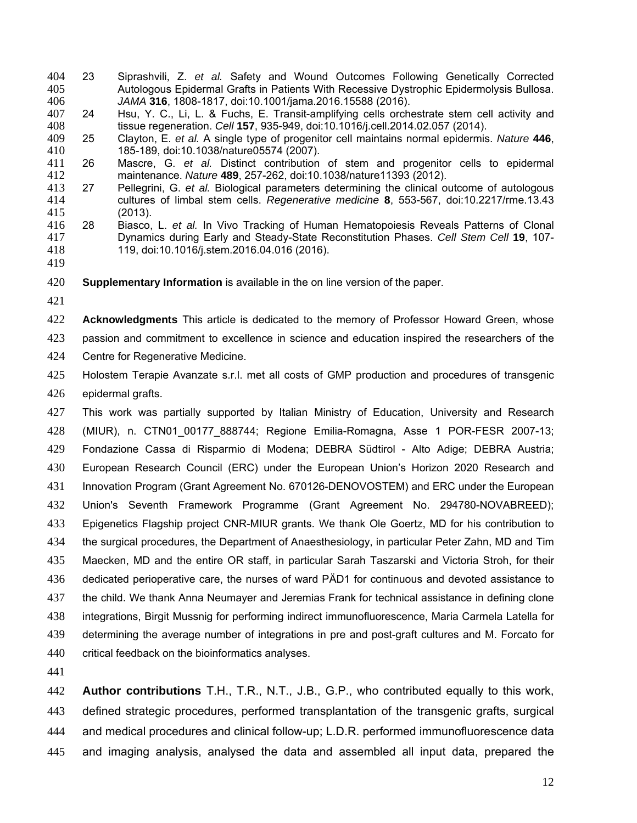- 23 Siprashvili, Z. *et al.* Safety and Wound Outcomes Following Genetically Corrected Autologous Epidermal Grafts in Patients With Recessive Dystrophic Epidermolysis Bullosa. *JAMA* **316**, 1808-1817, doi:10.1001/jama.2016.15588 (2016).
- 24 Hsu, Y. C., Li, L. & Fuchs, E. Transit-amplifying cells orchestrate stem cell activity and tissue regeneration. *Cell* **157**, 935-949, doi:10.1016/j.cell.2014.02.057 (2014).
- 25 Clayton, E. *et al.* A single type of progenitor cell maintains normal epidermis. *Nature* **446**, 185-189, doi:10.1038/nature05574 (2007).
- 26 Mascre, G. *et al.* Distinct contribution of stem and progenitor cells to epidermal maintenance. *Nature* **489**, 257-262, doi:10.1038/nature11393 (2012).
- Pellegrini, G. et al. Biological parameters determining the clinical outcome of autologous cultures of limbal stem cells. *Regenerative medicine* **8**, 553-567, doi:10.2217/rme.13.43 (2013).
- 28 Biasco, L. *et al.* In Vivo Tracking of Human Hematopoiesis Reveals Patterns of Clonal Dynamics during Early and Steady-State Reconstitution Phases. *Cell Stem Cell* **19**, 107- 119, doi:10.1016/j.stem.2016.04.016 (2016).
- 

**Supplementary Information** is available in the on line version of the paper.

**Acknowledgments** This article is dedicated to the memory of Professor Howard Green, whose

- passion and commitment to excellence in science and education inspired the researchers of the Centre for Regenerative Medicine.
- Holostem Terapie Avanzate s.r.l. met all costs of GMP production and procedures of transgenic epidermal grafts.

This work was partially supported by Italian Ministry of Education, University and Research (MIUR), n. CTN01\_00177\_888744; Regione Emilia-Romagna, Asse 1 POR-FESR 2007-13; Fondazione Cassa di Risparmio di Modena; DEBRA Südtirol - Alto Adige; DEBRA Austria; European Research Council (ERC) under the European Union's Horizon 2020 Research and Innovation Program (Grant Agreement No. 670126-DENOVOSTEM) and ERC under the European Union's Seventh Framework Programme (Grant Agreement No. 294780-NOVABREED); Epigenetics Flagship project CNR-MIUR grants. We thank Ole Goertz, MD for his contribution to the surgical procedures, the Department of Anaesthesiology, in particular Peter Zahn, MD and Tim Maecken, MD and the entire OR staff, in particular Sarah Taszarski and Victoria Stroh, for their dedicated perioperative care, the nurses of ward PÄD1 for continuous and devoted assistance to the child. We thank Anna Neumayer and Jeremias Frank for technical assistance in defining clone integrations, Birgit Mussnig for performing indirect immunofluorescence, Maria Carmela Latella for determining the average number of integrations in pre and post-graft cultures and M. Forcato for critical feedback on the bioinformatics analyses.

**Author contributions** T.H., T.R., N.T., J.B., G.P., who contributed equally to this work, defined strategic procedures, performed transplantation of the transgenic grafts, surgical and medical procedures and clinical follow-up; L.D.R. performed immunofluorescence data and imaging analysis, analysed the data and assembled all input data, prepared the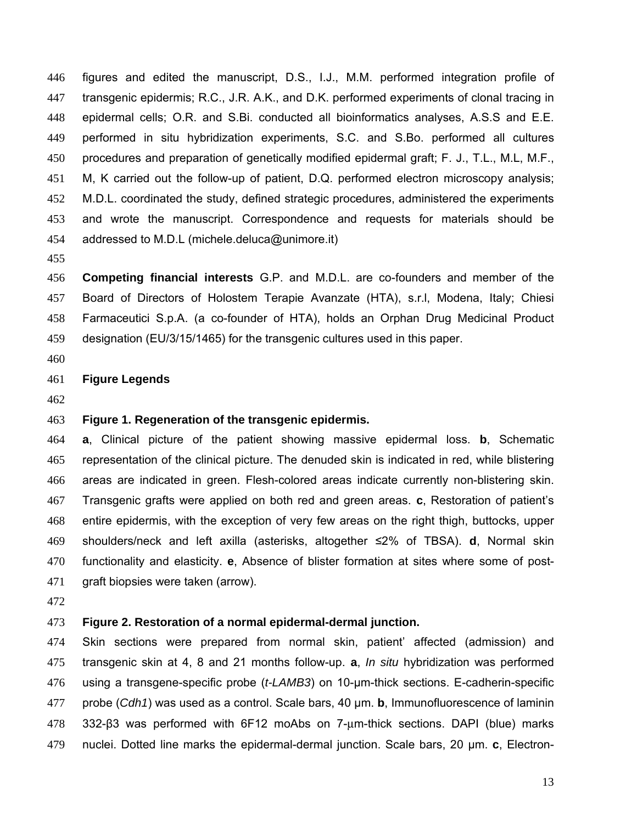figures and edited the manuscript, D.S., I.J., M.M. performed integration profile of transgenic epidermis; R.C., J.R. A.K., and D.K. performed experiments of clonal tracing in epidermal cells; O.R. and S.Bi. conducted all bioinformatics analyses, A.S.S and E.E. performed in situ hybridization experiments, S.C. and S.Bo. performed all cultures procedures and preparation of genetically modified epidermal graft; F. J., T.L., M.L, M.F., M, K carried out the follow-up of patient, D.Q. performed electron microscopy analysis; M.D.L. coordinated the study, defined strategic procedures, administered the experiments and wrote the manuscript. Correspondence and requests for materials should be addressed to M.D.L (michele.deluca@unimore.it)

**Competing financial interests** G.P. and M.D.L. are co-founders and member of the Board of Directors of Holostem Terapie Avanzate (HTA), s.r.l, Modena, Italy; Chiesi Farmaceutici S.p.A. (a co-founder of HTA), holds an Orphan Drug Medicinal Product designation (EU/3/15/1465) for the transgenic cultures used in this paper.

### **Figure Legends**

## **Figure 1. Regeneration of the transgenic epidermis.**

**a**, Clinical picture of the patient showing massive epidermal loss. **b**, Schematic representation of the clinical picture. The denuded skin is indicated in red, while blistering areas are indicated in green. Flesh-colored areas indicate currently non-blistering skin. Transgenic grafts were applied on both red and green areas. **c**, Restoration of patient's entire epidermis, with the exception of very few areas on the right thigh, buttocks, upper shoulders/neck and left axilla (asterisks, altogether ≤2% of TBSA). **d**, Normal skin functionality and elasticity. **e**, Absence of blister formation at sites where some of post-graft biopsies were taken (arrow).

### **Figure 2. Restoration of a normal epidermal-dermal junction.**

Skin sections were prepared from normal skin, patient' affected (admission) and transgenic skin at 4, 8 and 21 months follow-up. **a**, *In situ* hybridization was performed using a transgene-specific probe (*t-LAMB3*) on 10-μm-thick sections. E-cadherin-specific probe (*Cdh1*) was used as a control. Scale bars, 40 μm. **b**, Immunofluorescence of laminin 332-β3 was performed with 6F12 moAbs on 7-μm-thick sections. DAPI (blue) marks nuclei. Dotted line marks the epidermal-dermal junction. Scale bars, 20 μm. **c**, Electron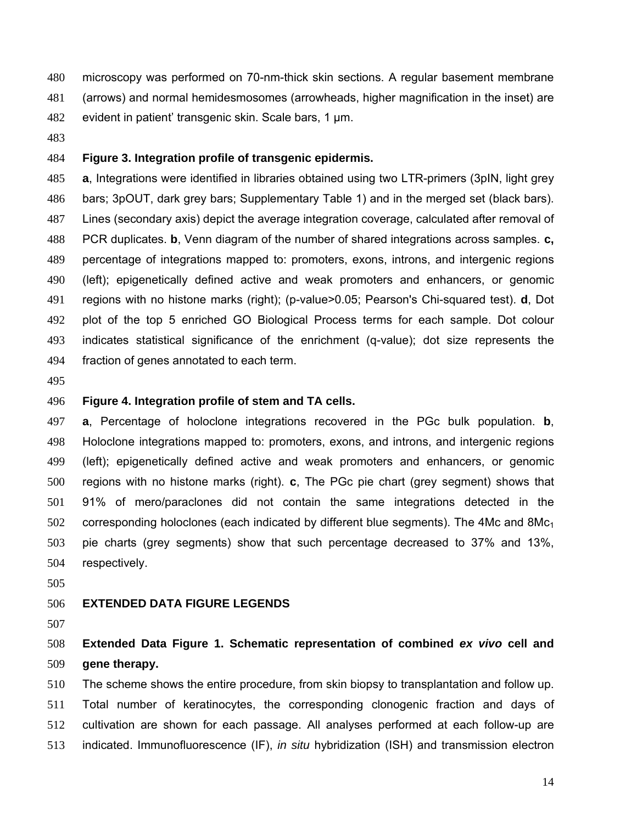microscopy was performed on 70-nm-thick skin sections. A regular basement membrane (arrows) and normal hemidesmosomes (arrowheads, higher magnification in the inset) are evident in patient' transgenic skin. Scale bars, 1 μm.

### **Figure 3. Integration profile of transgenic epidermis.**

**a**, Integrations were identified in libraries obtained using two LTR-primers (3pIN, light grey bars; 3pOUT, dark grey bars; Supplementary Table 1) and in the merged set (black bars). Lines (secondary axis) depict the average integration coverage, calculated after removal of PCR duplicates. **b**, Venn diagram of the number of shared integrations across samples. **c,** percentage of integrations mapped to: promoters, exons, introns, and intergenic regions (left); epigenetically defined active and weak promoters and enhancers, or genomic regions with no histone marks (right); (p-value>0.05; Pearson's Chi-squared test). **d**, Dot plot of the top 5 enriched GO Biological Process terms for each sample. Dot colour indicates statistical significance of the enrichment (q-value); dot size represents the fraction of genes annotated to each term.

### **Figure 4. Integration profile of stem and TA cells.**

**a**, Percentage of holoclone integrations recovered in the PGc bulk population. **b**, Holoclone integrations mapped to: promoters, exons, and introns, and intergenic regions (left); epigenetically defined active and weak promoters and enhancers, or genomic regions with no histone marks (right). **c**, The PGc pie chart (grey segment) shows that 91% of mero/paraclones did not contain the same integrations detected in the corresponding holoclones (each indicated by different blue segments). The 4Mc and 8Mc<sub>1</sub> pie charts (grey segments) show that such percentage decreased to 37% and 13%, respectively.

### **EXTENDED DATA FIGURE LEGENDS**

# **Extended Data Figure 1. Schematic representation of combined** *ex vivo* **cell and gene therapy.**

The scheme shows the entire procedure, from skin biopsy to transplantation and follow up. Total number of keratinocytes, the corresponding clonogenic fraction and days of cultivation are shown for each passage. All analyses performed at each follow-up are indicated. Immunofluorescence (IF), *in situ* hybridization (ISH) and transmission electron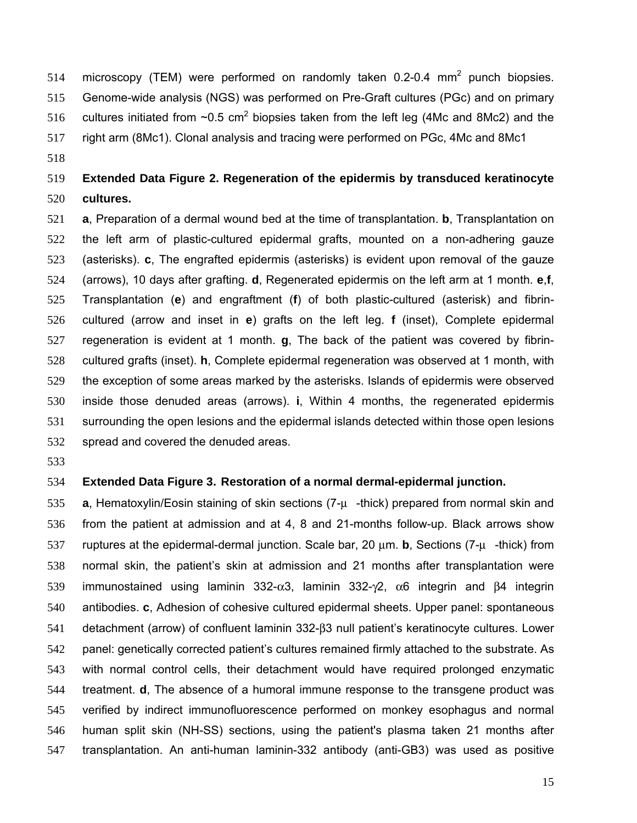- microscopy (TEM) were performed on randomly taken 0.2-0.4 mm<sup>2</sup> punch biopsies. Genome-wide analysis (NGS) was performed on Pre-Graft cultures (PGc) and on primary
- 516 cultures initiated from  $\sim$ 0.5 cm<sup>2</sup> biopsies taken from the left leg (4Mc and 8Mc2) and the
- right arm (8Mc1). Clonal analysis and tracing were performed on PGc, 4Mc and 8Mc1
- 

# **Extended Data Figure 2. Regeneration of the epidermis by transduced keratinocyte cultures.**

**a**, Preparation of a dermal wound bed at the time of transplantation. **b**, Transplantation on the left arm of plastic-cultured epidermal grafts, mounted on a non-adhering gauze (asterisks). **c**, The engrafted epidermis (asterisks) is evident upon removal of the gauze (arrows), 10 days after grafting. **d**, Regenerated epidermis on the left arm at 1 month. **e**,**f**, Transplantation (**e**) and engraftment (**f**) of both plastic-cultured (asterisk) and fibrin-cultured (arrow and inset in **e**) grafts on the left leg. **f** (inset), Complete epidermal regeneration is evident at 1 month. **g**, The back of the patient was covered by fibrin-cultured grafts (inset). **h**, Complete epidermal regeneration was observed at 1 month, with the exception of some areas marked by the asterisks. Islands of epidermis were observed inside those denuded areas (arrows). **i**, Within 4 months, the regenerated epidermis surrounding the open lesions and the epidermal islands detected within those open lesions spread and covered the denuded areas.

### **Extended Data Figure 3. Restoration of a normal dermal-epidermal junction.**

**a**, Hematoxylin/Eosin staining of skin sections (7-μ-thick) prepared from normal skin and from the patient at admission and at 4, 8 and 21-months follow-up. Black arrows show ruptures at the epidermal-dermal junction. Scale bar, 20 μm. **b**, Sections (7-μ-thick) from normal skin, the patient's skin at admission and 21 months after transplantation were immunostained using laminin 332-α3, laminin 332-γ2, α6 integrin and β4 integrin antibodies. **c**, Adhesion of cohesive cultured epidermal sheets. Upper panel: spontaneous detachment (arrow) of confluent laminin 332-β3 null patient's keratinocyte cultures. Lower panel: genetically corrected patient's cultures remained firmly attached to the substrate. As with normal control cells, their detachment would have required prolonged enzymatic treatment. **d**, The absence of a humoral immune response to the transgene product was verified by indirect immunofluorescence performed on monkey esophagus and normal human split skin (NH-SS) sections, using the patient's plasma taken 21 months after transplantation. An anti-human laminin-332 antibody (anti-GB3) was used as positive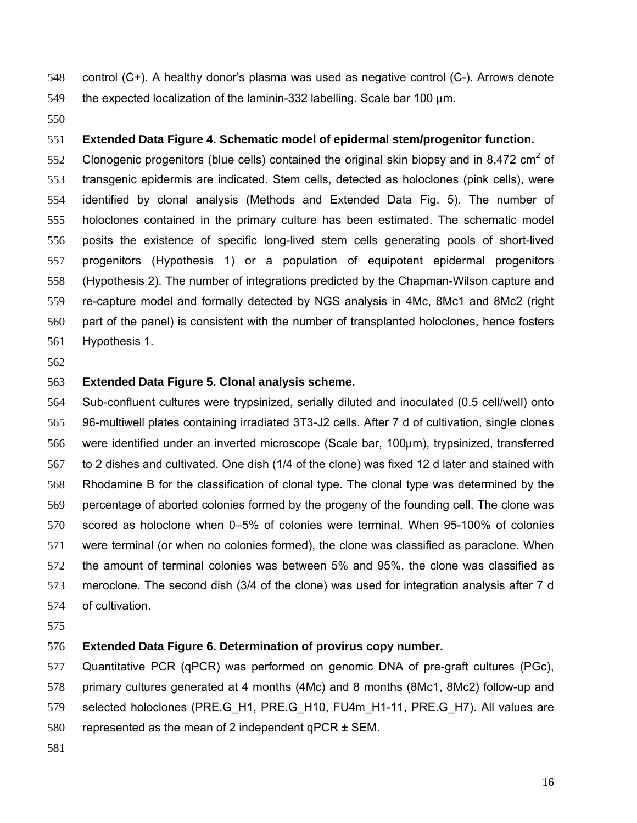control (C+). A healthy donor's plasma was used as negative control (C-). Arrows denote

the expected localization of the laminin-332 labelling. Scale bar 100 μm.

## **Extended Data Figure 4. Schematic model of epidermal stem/progenitor function.**

552 Clonogenic progenitors (blue cells) contained the original skin biopsy and in 8.472 cm<sup>2</sup> of transgenic epidermis are indicated. Stem cells, detected as holoclones (pink cells), were identified by clonal analysis (Methods and Extended Data Fig. 5). The number of holoclones contained in the primary culture has been estimated. The schematic model posits the existence of specific long-lived stem cells generating pools of short-lived progenitors (Hypothesis 1) or a population of equipotent epidermal progenitors (Hypothesis 2). The number of integrations predicted by the Chapman-Wilson capture and re-capture model and formally detected by NGS analysis in 4Mc, 8Mc1 and 8Mc2 (right part of the panel) is consistent with the number of transplanted holoclones, hence fosters Hypothesis 1.

## **Extended Data Figure 5. Clonal analysis scheme.**

Sub-confluent cultures were trypsinized, serially diluted and inoculated (0.5 cell/well) onto 96-multiwell plates containing irradiated 3T3-J2 cells. After 7 d of cultivation, single clones were identified under an inverted microscope (Scale bar, 100μm), trypsinized, transferred to 2 dishes and cultivated. One dish (1/4 of the clone) was fixed 12 d later and stained with Rhodamine B for the classification of clonal type. The clonal type was determined by the percentage of aborted colonies formed by the progeny of the founding cell. The clone was scored as holoclone when 0–5% of colonies were terminal. When 95-100% of colonies were terminal (or when no colonies formed), the clone was classified as paraclone. When the amount of terminal colonies was between 5% and 95%, the clone was classified as meroclone. The second dish (3/4 of the clone) was used for integration analysis after 7 d of cultivation.

## **Extended Data Figure 6. Determination of provirus copy number.**

Quantitative PCR (qPCR) was performed on genomic DNA of pre-graft cultures (PGc), primary cultures generated at 4 months (4Mc) and 8 months (8Mc1, 8Mc2) follow-up and selected holoclones (PRE.G\_H1, PRE.G\_H10, FU4m\_H1-11, PRE.G\_H7). All values are 580 represented as the mean of 2 independent qPCR  $\pm$  SEM.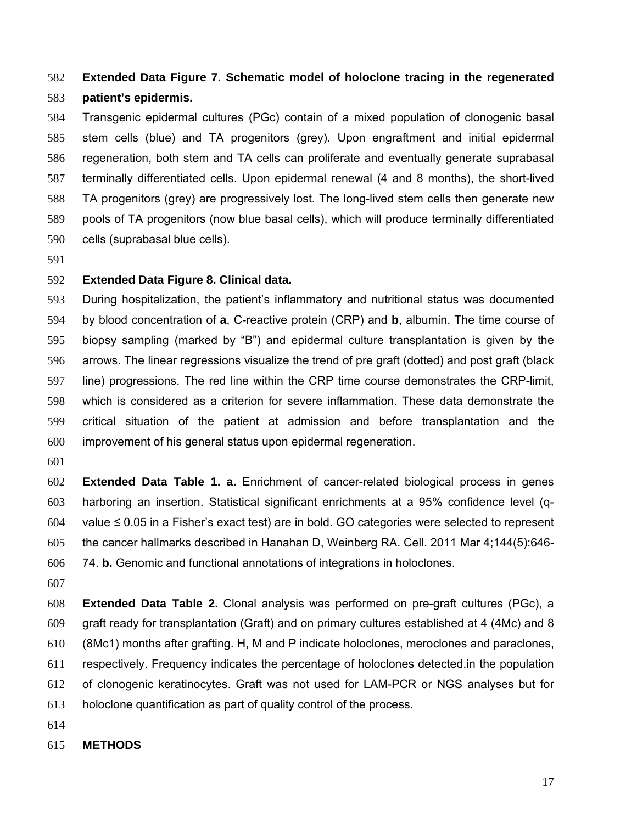# **Extended Data Figure 7. Schematic model of holoclone tracing in the regenerated patient's epidermis.**

Transgenic epidermal cultures (PGc) contain of a mixed population of clonogenic basal stem cells (blue) and TA progenitors (grey). Upon engraftment and initial epidermal regeneration, both stem and TA cells can proliferate and eventually generate suprabasal terminally differentiated cells. Upon epidermal renewal (4 and 8 months), the short-lived TA progenitors (grey) are progressively lost. The long-lived stem cells then generate new pools of TA progenitors (now blue basal cells), which will produce terminally differentiated cells (suprabasal blue cells).

### **Extended Data Figure 8. Clinical data.**

During hospitalization, the patient's inflammatory and nutritional status was documented by blood concentration of **a**, C-reactive protein (CRP) and **b**, albumin. The time course of biopsy sampling (marked by "B") and epidermal culture transplantation is given by the arrows. The linear regressions visualize the trend of pre graft (dotted) and post graft (black line) progressions. The red line within the CRP time course demonstrates the CRP-limit, which is considered as a criterion for severe inflammation. These data demonstrate the critical situation of the patient at admission and before transplantation and the improvement of his general status upon epidermal regeneration.

**Extended Data Table 1. a.** Enrichment of cancer-related biological process in genes harboring an insertion. Statistical significant enrichments at a 95% confidence level (q-604 value  $\leq$  0.05 in a Fisher's exact test) are in bold. GO categories were selected to represent the cancer hallmarks described in Hanahan D, Weinberg RA. Cell. 2011 Mar 4;144(5):646- 74. **b.** Genomic and functional annotations of integrations in holoclones.

**Extended Data Table 2.** Clonal analysis was performed on pre-graft cultures (PGc), a graft ready for transplantation (Graft) and on primary cultures established at 4 (4Mc) and 8 (8Mc1) months after grafting. H, M and P indicate holoclones, meroclones and paraclones, respectively. Frequency indicates the percentage of holoclones detected.in the population of clonogenic keratinocytes. Graft was not used for LAM-PCR or NGS analyses but for holoclone quantification as part of quality control of the process.

- 
- **METHODS**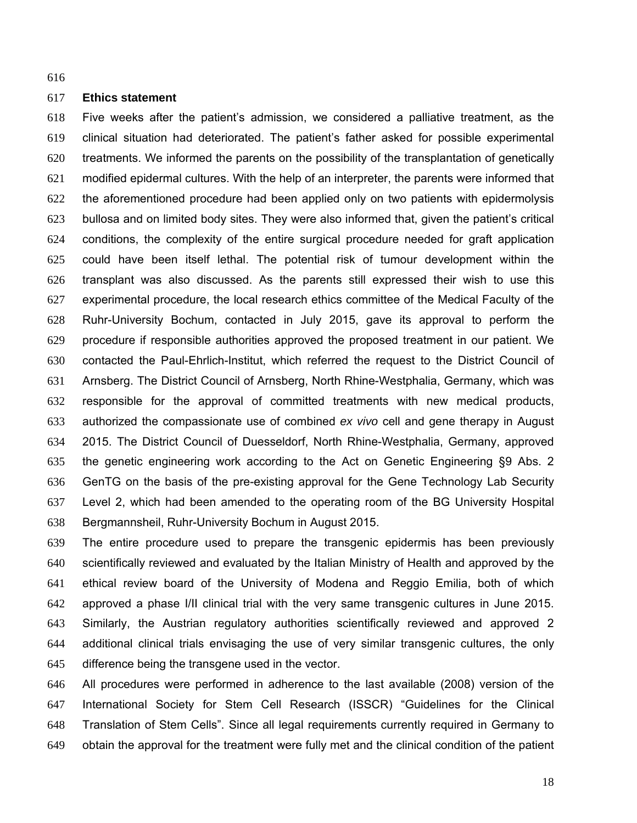### **Ethics statement**

Five weeks after the patient's admission, we considered a palliative treatment, as the clinical situation had deteriorated. The patient's father asked for possible experimental treatments. We informed the parents on the possibility of the transplantation of genetically modified epidermal cultures. With the help of an interpreter, the parents were informed that the aforementioned procedure had been applied only on two patients with epidermolysis bullosa and on limited body sites. They were also informed that, given the patient's critical conditions, the complexity of the entire surgical procedure needed for graft application could have been itself lethal. The potential risk of tumour development within the transplant was also discussed. As the parents still expressed their wish to use this experimental procedure, the local research ethics committee of the Medical Faculty of the Ruhr-University Bochum, contacted in July 2015, gave its approval to perform the procedure if responsible authorities approved the proposed treatment in our patient. We contacted the Paul-Ehrlich-Institut, which referred the request to the District Council of Arnsberg. The District Council of Arnsberg, North Rhine-Westphalia, Germany, which was responsible for the approval of committed treatments with new medical products, authorized the compassionate use of combined *ex vivo* cell and gene therapy in August 2015. The District Council of Duesseldorf, North Rhine-Westphalia, Germany, approved the genetic engineering work according to the Act on Genetic Engineering §9 Abs. 2 GenTG on the basis of the pre-existing approval for the Gene Technology Lab Security Level 2, which had been amended to the operating room of the BG University Hospital Bergmannsheil, Ruhr-University Bochum in August 2015.

The entire procedure used to prepare the transgenic epidermis has been previously scientifically reviewed and evaluated by the Italian Ministry of Health and approved by the ethical review board of the University of Modena and Reggio Emilia, both of which approved a phase I/II clinical trial with the very same transgenic cultures in June 2015. Similarly, the Austrian regulatory authorities scientifically reviewed and approved 2 additional clinical trials envisaging the use of very similar transgenic cultures, the only difference being the transgene used in the vector.

All procedures were performed in adherence to the last available (2008) version of the International Society for Stem Cell Research (ISSCR) "Guidelines for the Clinical Translation of Stem Cells". Since all legal requirements currently required in Germany to obtain the approval for the treatment were fully met and the clinical condition of the patient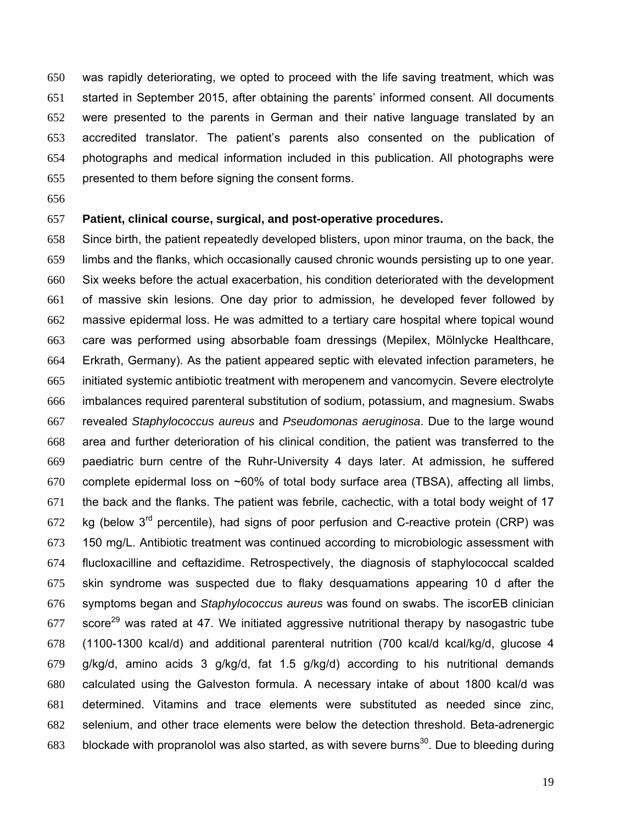was rapidly deteriorating, we opted to proceed with the life saving treatment, which was started in September 2015, after obtaining the parents' informed consent. All documents were presented to the parents in German and their native language translated by an accredited translator. The patient's parents also consented on the publication of photographs and medical information included in this publication. All photographs were presented to them before signing the consent forms.

### **Patient, clinical course, surgical, and post-operative procedures.**

Since birth, the patient repeatedly developed blisters, upon minor trauma, on the back, the limbs and the flanks, which occasionally caused chronic wounds persisting up to one year. Six weeks before the actual exacerbation, his condition deteriorated with the development of massive skin lesions. One day prior to admission, he developed fever followed by massive epidermal loss. He was admitted to a tertiary care hospital where topical wound care was performed using absorbable foam dressings (Mepilex, Mölnlycke Healthcare, Erkrath, Germany). As the patient appeared septic with elevated infection parameters, he initiated systemic antibiotic treatment with meropenem and vancomycin. Severe electrolyte imbalances required parenteral substitution of sodium, potassium, and magnesium. Swabs revealed *Staphylococcus aureus* and *Pseudomonas aeruginosa*. Due to the large wound area and further deterioration of his clinical condition, the patient was transferred to the paediatric burn centre of the Ruhr-University 4 days later. At admission, he suffered 670 complete epidermal loss on  $\sim$ 60% of total body surface area (TBSA), affecting all limbs, the back and the flanks. The patient was febrile, cachectic, with a total body weight of 17 672 kg (below  $3<sup>rd</sup>$  percentile), had signs of poor perfusion and C-reactive protein (CRP) was 150 mg/L. Antibiotic treatment was continued according to microbiologic assessment with flucloxacilline and ceftazidime. Retrospectively, the diagnosis of staphylococcal scalded skin syndrome was suspected due to flaky desquamations appearing 10 d after the symptoms began and *Staphylococcus aureus* was found on swabs. The iscorEB clinician score<sup>29</sup> was rated at 47. We initiated aggressive nutritional therapy by nasogastric tube (1100-1300 kcal/d) and additional parenteral nutrition (700 kcal/d kcal/kg/d, glucose 4 g/kg/d, amino acids 3 g/kg/d, fat 1.5 g/kg/d) according to his nutritional demands calculated using the Galveston formula. A necessary intake of about 1800 kcal/d was determined. Vitamins and trace elements were substituted as needed since zinc, selenium, and other trace elements were below the detection threshold. Beta-adrenergic 683 blockade with propranolol was also started, as with severe burns<sup>30</sup>. Due to bleeding during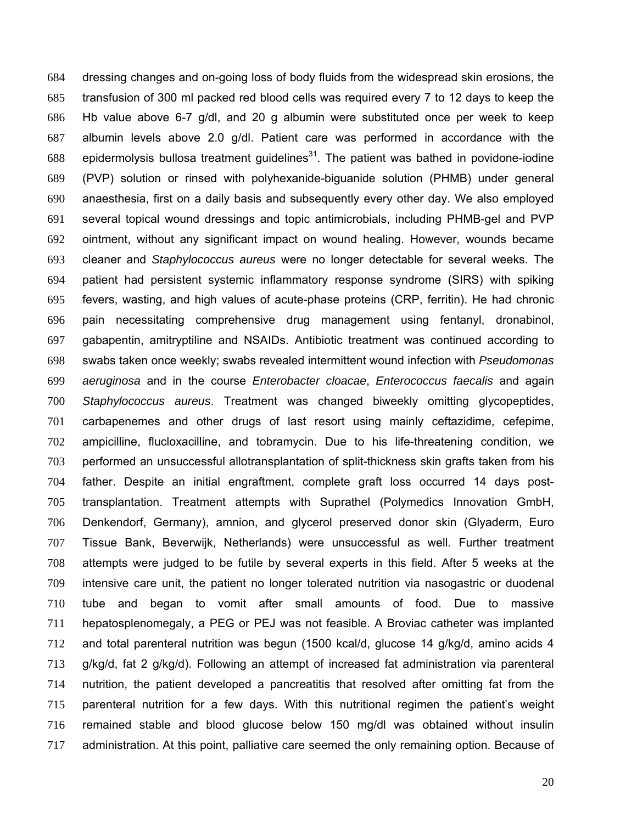dressing changes and on-going loss of body fluids from the widespread skin erosions, the transfusion of 300 ml packed red blood cells was required every 7 to 12 days to keep the Hb value above 6-7 g/dl, and 20 g albumin were substituted once per week to keep albumin levels above 2.0 g/dl. Patient care was performed in accordance with the 688 epidermolysis bullosa treatment guidelines<sup>31</sup>. The patient was bathed in povidone-iodine (PVP) solution or rinsed with polyhexanide-biguanide solution (PHMB) under general anaesthesia, first on a daily basis and subsequently every other day. We also employed several topical wound dressings and topic antimicrobials, including PHMB-gel and PVP ointment, without any significant impact on wound healing. However, wounds became cleaner and *Staphylococcus aureus* were no longer detectable for several weeks. The patient had persistent systemic inflammatory response syndrome (SIRS) with spiking fevers, wasting, and high values of acute-phase proteins (CRP, ferritin). He had chronic pain necessitating comprehensive drug management using fentanyl, dronabinol, gabapentin, amitryptiline and NSAIDs. Antibiotic treatment was continued according to swabs taken once weekly; swabs revealed intermittent wound infection with *Pseudomonas aeruginosa* and in the course *Enterobacter cloacae*, *Enterococcus faecalis* and again *Staphylococcus aureus*. Treatment was changed biweekly omitting glycopeptides, carbapenemes and other drugs of last resort using mainly ceftazidime, cefepime, ampicilline, flucloxacilline, and tobramycin. Due to his life-threatening condition, we performed an unsuccessful allotransplantation of split-thickness skin grafts taken from his father. Despite an initial engraftment, complete graft loss occurred 14 days post-transplantation. Treatment attempts with Suprathel (Polymedics Innovation GmbH, Denkendorf, Germany), amnion, and glycerol preserved donor skin (Glyaderm, Euro Tissue Bank, Beverwijk, Netherlands) were unsuccessful as well. Further treatment attempts were judged to be futile by several experts in this field. After 5 weeks at the intensive care unit, the patient no longer tolerated nutrition via nasogastric or duodenal tube and began to vomit after small amounts of food. Due to massive hepatosplenomegaly, a PEG or PEJ was not feasible. A Broviac catheter was implanted and total parenteral nutrition was begun (1500 kcal/d, glucose 14 g/kg/d, amino acids 4 g/kg/d, fat 2 g/kg/d). Following an attempt of increased fat administration via parenteral nutrition, the patient developed a pancreatitis that resolved after omitting fat from the parenteral nutrition for a few days. With this nutritional regimen the patient's weight remained stable and blood glucose below 150 mg/dl was obtained without insulin administration. At this point, palliative care seemed the only remaining option. Because of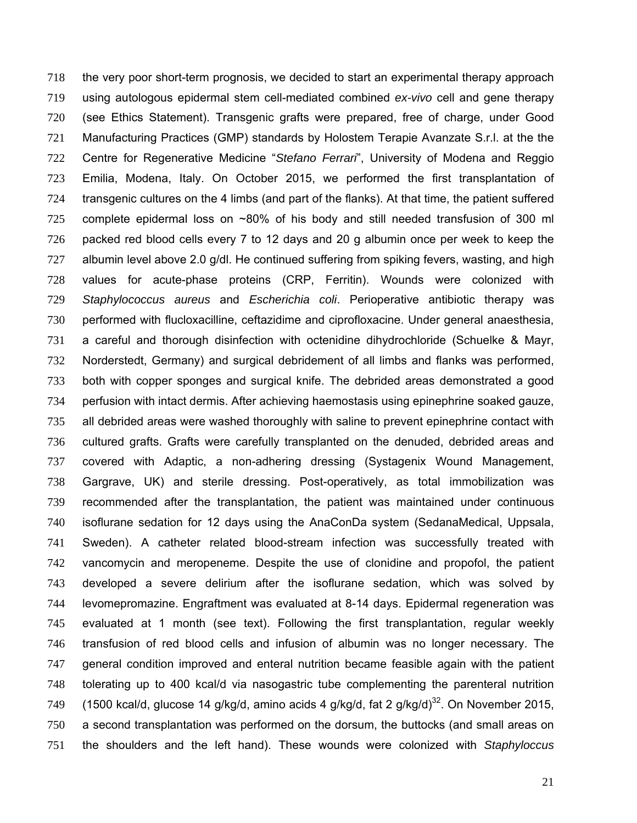the very poor short-term prognosis, we decided to start an experimental therapy approach using autologous epidermal stem cell-mediated combined *ex-vivo* cell and gene therapy (see Ethics Statement). Transgenic grafts were prepared, free of charge, under Good Manufacturing Practices (GMP) standards by Holostem Terapie Avanzate S.r.l. at the the Centre for Regenerative Medicine "*Stefano Ferrari*", University of Modena and Reggio Emilia, Modena, Italy. On October 2015, we performed the first transplantation of transgenic cultures on the 4 limbs (and part of the flanks). At that time, the patient suffered complete epidermal loss on ~80% of his body and still needed transfusion of 300 ml packed red blood cells every 7 to 12 days and 20 g albumin once per week to keep the albumin level above 2.0 g/dl. He continued suffering from spiking fevers, wasting, and high values for acute-phase proteins (CRP, Ferritin). Wounds were colonized with *Staphylococcus aureus* and *Escherichia coli*. Perioperative antibiotic therapy was performed with flucloxacilline, ceftazidime and ciprofloxacine. Under general anaesthesia, a careful and thorough disinfection with octenidine dihydrochloride (Schuelke & Mayr, Norderstedt, Germany) and surgical debridement of all limbs and flanks was performed, both with copper sponges and surgical knife. The debrided areas demonstrated a good perfusion with intact dermis. After achieving haemostasis using epinephrine soaked gauze, 735 all debrided areas were washed thoroughly with saline to prevent epinephrine contact with cultured grafts. Grafts were carefully transplanted on the denuded, debrided areas and covered with Adaptic, a non-adhering dressing (Systagenix Wound Management, Gargrave, UK) and sterile dressing. Post-operatively, as total immobilization was recommended after the transplantation, the patient was maintained under continuous isoflurane sedation for 12 days using the AnaConDa system (SedanaMedical, Uppsala, Sweden). A catheter related blood-stream infection was successfully treated with vancomycin and meropeneme. Despite the use of clonidine and propofol, the patient developed a severe delirium after the isoflurane sedation, which was solved by levomepromazine. Engraftment was evaluated at 8-14 days. Epidermal regeneration was evaluated at 1 month (see text). Following the first transplantation, regular weekly transfusion of red blood cells and infusion of albumin was no longer necessary. The general condition improved and enteral nutrition became feasible again with the patient tolerating up to 400 kcal/d via nasogastric tube complementing the parenteral nutrition (1500 kcal/d, glucose 14 g/kg/d, amino acids 4 g/kg/d, fat 2 g/kg/d)<sup>32</sup>. On November 2015, a second transplantation was performed on the dorsum, the buttocks (and small areas on the shoulders and the left hand). These wounds were colonized with *Staphyloccus*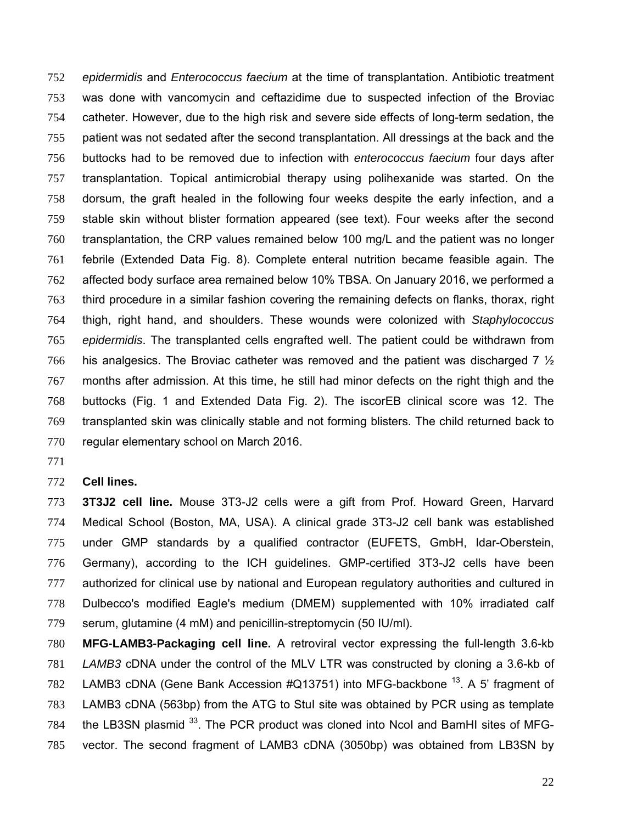*epidermidis* and *Enterococcus faecium* at the time of transplantation. Antibiotic treatment was done with vancomycin and ceftazidime due to suspected infection of the Broviac catheter. However, due to the high risk and severe side effects of long-term sedation, the patient was not sedated after the second transplantation. All dressings at the back and the buttocks had to be removed due to infection with *enterococcus faecium* four days after transplantation. Topical antimicrobial therapy using polihexanide was started. On the dorsum, the graft healed in the following four weeks despite the early infection, and a stable skin without blister formation appeared (see text). Four weeks after the second transplantation, the CRP values remained below 100 mg/L and the patient was no longer febrile (Extended Data Fig. 8). Complete enteral nutrition became feasible again. The affected body surface area remained below 10% TBSA. On January 2016, we performed a third procedure in a similar fashion covering the remaining defects on flanks, thorax, right thigh, right hand, and shoulders. These wounds were colonized with *Staphylococcus epidermidis*. The transplanted cells engrafted well. The patient could be withdrawn from 766 his analgesics. The Broviac catheter was removed and the patient was discharged 7  $\frac{1}{2}$ months after admission. At this time, he still had minor defects on the right thigh and the buttocks (Fig. 1 and Extended Data Fig. 2). The iscorEB clinical score was 12. The transplanted skin was clinically stable and not forming blisters. The child returned back to regular elementary school on March 2016.

### **Cell lines.**

**3T3J2 cell line.** Mouse 3T3-J2 cells were a gift from Prof. Howard Green, Harvard Medical School (Boston, MA, USA). A clinical grade 3T3-J2 cell bank was established under GMP standards by a qualified contractor (EUFETS, GmbH, Idar-Oberstein, Germany), according to the ICH guidelines. GMP-certified 3T3-J2 cells have been 777 authorized for clinical use by national and European regulatory authorities and cultured in Dulbecco's modified Eagle's medium (DMEM) supplemented with 10% irradiated calf serum, glutamine (4 mM) and penicillin-streptomycin (50 IU/ml).

**MFG-LAMB3-Packaging cell line.** A retroviral vector expressing the full-length 3.6-kb *LAMB3* cDNA under the control of the MLV LTR was constructed by cloning a 3.6-kb of 782 LAMB3 cDNA (Gene Bank Accession  $\#Q$ 13751) into MFG-backbone  $^{13}$ . A 5' fragment of LAMB3 cDNA (563bp) from the ATG to StuI site was obtained by PCR using as template 784 the LB3SN plasmid . The PCR product was cloned into NcoI and BamHI sites of MFG-vector. The second fragment of LAMB3 cDNA (3050bp) was obtained from LB3SN by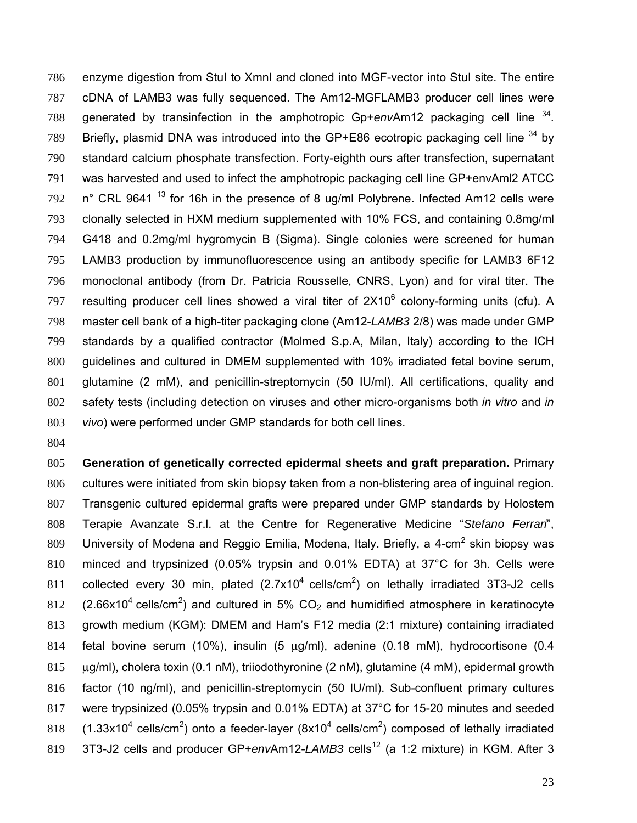enzyme digestion from StuI to XmnI and cloned into MGF-vector into StuI site. The entire cDNA of LAMB3 was fully sequenced. The Am12-MGFLAMB3 producer cell lines were 788 generated by transinfection in the amphotropic Gp+*envAm12* packaging cell line <sup>34</sup>. 789 Briefly, plasmid DNA was introduced into the GP+E86 ecotropic packaging cell line by standard calcium phosphate transfection. Forty-eighth ours after transfection, supernatant was harvested and used to infect the amphotropic packaging cell line GP+envAml2 ATCC in° CRL 9641<sup>13</sup> for 16h in the presence of 8 ug/ml Polybrene. Infected Am12 cells were clonally selected in HXM medium supplemented with 10% FCS, and containing 0.8mg/ml G418 and 0.2mg/ml hygromycin B (Sigma). Single colonies were screened for human LAMΒ3 production by immunofluorescence using an antibody specific for LAMΒ3 6F12 monoclonal antibody (from Dr. Patricia Rousselle, CNRS, Lyon) and for viral titer. The 797 resulting producer cell lines showed a viral titer of  $2X10^6$  colony-forming units (cfu). A master cell bank of a high-titer packaging clone (Am12-*LAMB3* 2/8) was made under GMP standards by a qualified contractor (Molmed S.p.A, Milan, Italy) according to the ICH guidelines and cultured in DMEM supplemented with 10% irradiated fetal bovine serum, glutamine (2 mM), and penicillin-streptomycin (50 IU/ml). All certifications, quality and safety tests (including detection on viruses and other micro-organisms both *in vitro* and *in vivo*) were performed under GMP standards for both cell lines.

**Generation of genetically corrected epidermal sheets and graft preparation.** Primary cultures were initiated from skin biopsy taken from a non-blistering area of inguinal region. Transgenic cultured epidermal grafts were prepared under GMP standards by Holostem Terapie Avanzate S.r.l. at the Centre for Regenerative Medicine "*Stefano Ferrari*", 809 University of Modena and Reggio Emilia, Modena, Italy. Briefly, a 4-cm<sup>2</sup> skin biopsy was minced and trypsinized (0.05% trypsin and 0.01% EDTA) at 37°C for 3h. Cells were 811 collected every 30 min, plated  $(2.7x10<sup>4</sup>$  cells/cm<sup>2</sup>) on lethally irradiated 3T3-J2 cells 812 (2.66x10<sup>4</sup> cells/cm<sup>2</sup>) and cultured in 5%  $CO<sub>2</sub>$  and humidified atmosphere in keratinocyte growth medium (KGM): DMEM and Ham's F12 media (2:1 mixture) containing irradiated fetal bovine serum (10%), insulin (5 μg/ml), adenine (0.18 mM), hydrocortisone (0.4 μg/ml), cholera toxin (0.1 nM), triiodothyronine (2 nM), glutamine (4 mM), epidermal growth factor (10 ng/ml), and penicillin-streptomycin (50 IU/ml). Sub-confluent primary cultures were trypsinized (0.05% trypsin and 0.01% EDTA) at 37°C for 15-20 minutes and seeded 818 (1.33x10<sup>4</sup> cells/cm<sup>2</sup>) onto a feeder-layer (8x10<sup>4</sup> cells/cm<sup>2</sup>) composed of lethally irradiated 819 3T3-J2 cells and producer GP+*envAm12-LAMB3* cells<sup>12</sup> (a 1:2 mixture) in KGM. After 3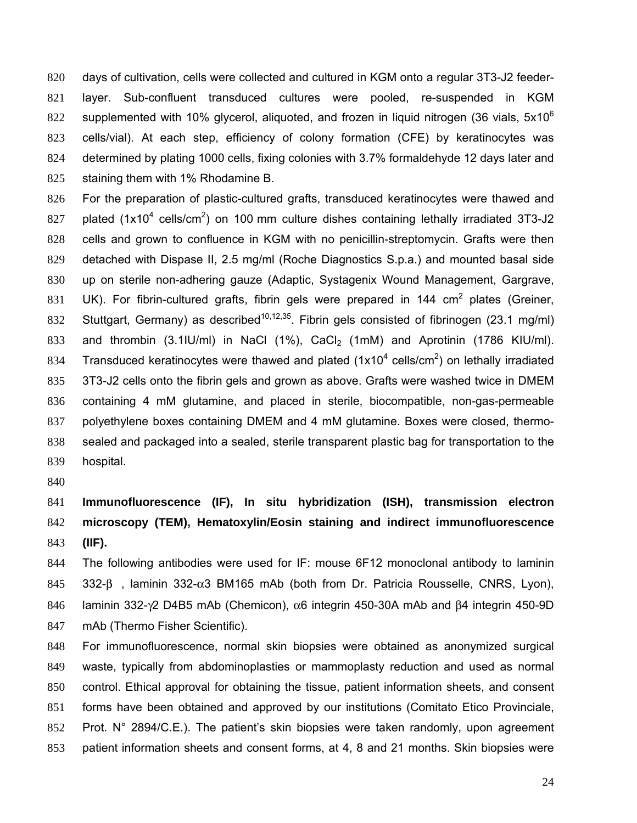days of cultivation, cells were collected and cultured in KGM onto a regular 3T3-J2 feeder-layer. Sub-confluent transduced cultures were pooled, re-suspended in KGM supplemented with 10% glycerol, aliquoted, and frozen in liquid nitrogen (36 vials,  $5x10^6$ ) cells/vial). At each step, efficiency of colony formation (CFE) by keratinocytes was determined by plating 1000 cells, fixing colonies with 3.7% formaldehyde 12 days later and staining them with 1% Rhodamine B.

For the preparation of plastic-cultured grafts, transduced keratinocytes were thawed and 827 plated (1x10<sup>4</sup> cells/cm<sup>2</sup>) on 100 mm culture dishes containing lethally irradiated 3T3-J2 cells and grown to confluence in KGM with no penicillin-streptomycin. Grafts were then detached with Dispase II, 2.5 mg/ml (Roche Diagnostics S.p.a.) and mounted basal side up on sterile non-adhering gauze (Adaptic, Systagenix Wound Management, Gargrave, 831 UK). For fibrin-cultured grafts, fibrin gels were prepared in 144 cm<sup>2</sup> plates (Greiner, Stuttgart, Germany) as described<sup>10,12,35</sup>. Fibrin gels consisted of fibrinogen (23.1 mg/ml) 833 and thrombin  $(3.1|U/m)$  in NaCl  $(1\%)$ , CaCl<sub>2</sub>  $(1m)$  and Aprotinin  $(1786 \text{ K} \cup 1/m)$ . 834 Transduced keratinocytes were thawed and plated (1x10<sup>4</sup> cells/cm<sup>2</sup>) on lethally irradiated 3T3-J2 cells onto the fibrin gels and grown as above. Grafts were washed twice in DMEM containing 4 mM glutamine, and placed in sterile, biocompatible, non-gas-permeable polyethylene boxes containing DMEM and 4 mM glutamine. Boxes were closed, thermo-sealed and packaged into a sealed, sterile transparent plastic bag for transportation to the hospital.

# **Immunofluorescence (IF), In situ hybridization (ISH), transmission electron microscopy (TEM), Hematoxylin/Eosin staining and indirect immunofluorescence (IIF).**

The following antibodies were used for IF: mouse 6F12 monoclonal antibody to laminin 332-β, laminin 332-α3 BM165 mAb (both from Dr. Patricia Rousselle, CNRS, Lyon), laminin 332-γ2 D4B5 mAb (Chemicon), α6 integrin 450-30A mAb and β4 integrin 450-9D mAb (Thermo Fisher Scientific).

For immunofluorescence, normal skin biopsies were obtained as anonymized surgical waste, typically from abdominoplasties or mammoplasty reduction and used as normal control. Ethical approval for obtaining the tissue, patient information sheets, and consent forms have been obtained and approved by our institutions (Comitato Etico Provinciale, Prot. N° 2894/C.E.). The patient's skin biopsies were taken randomly, upon agreement patient information sheets and consent forms, at 4, 8 and 21 months. Skin biopsies were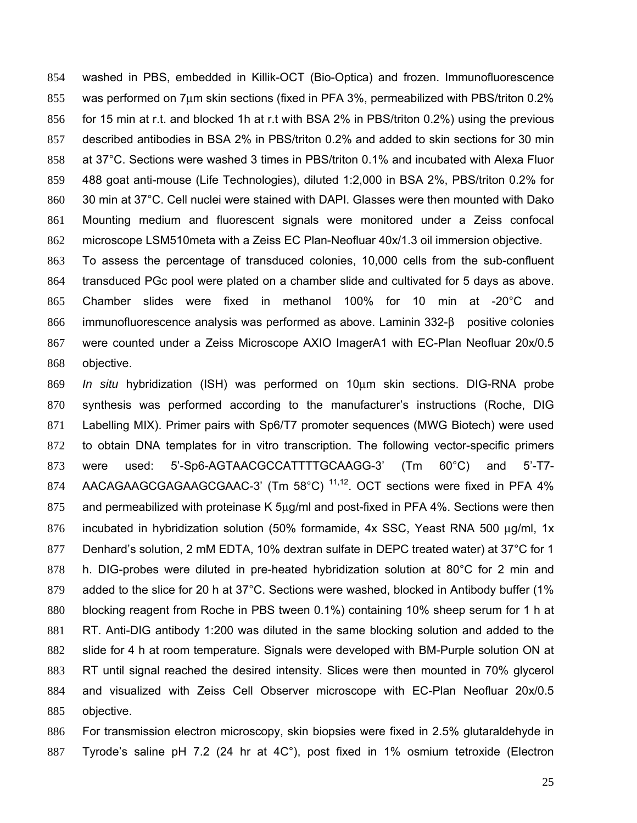washed in PBS, embedded in Killik-OCT (Bio-Optica) and frozen. Immunofluorescence was performed on 7μm skin sections (fixed in PFA 3%, permeabilized with PBS/triton 0.2% for 15 min at r.t. and blocked 1h at r.t with BSA 2% in PBS/triton 0.2%) using the previous described antibodies in BSA 2% in PBS/triton 0.2% and added to skin sections for 30 min at 37°C. Sections were washed 3 times in PBS/triton 0.1% and incubated with Alexa Fluor 488 goat anti-mouse (Life Technologies), diluted 1:2,000 in BSA 2%, PBS/triton 0.2% for 30 min at 37°C. Cell nuclei were stained with DAPI. Glasses were then mounted with Dako Mounting medium and fluorescent signals were monitored under a Zeiss confocal microscope LSM510meta with a Zeiss EC Plan-Neofluar 40x/1.3 oil immersion objective.

To assess the percentage of transduced colonies, 10,000 cells from the sub-confluent transduced PGc pool were plated on a chamber slide and cultivated for 5 days as above. Chamber slides were fixed in methanol 100% for 10 min at -20°C and immunofluorescence analysis was performed as above. Laminin 332-β positive colonies were counted under a Zeiss Microscope AXIO ImagerA1 with EC-Plan Neofluar 20x/0.5 objective.

*In situ* hybridization (ISH) was performed on 10μm skin sections. DIG-RNA probe synthesis was performed according to the manufacturer's instructions (Roche, DIG Labelling MIX). Primer pairs with Sp6/T7 promoter sequences (MWG Biotech) were used 872 to obtain DNA templates for in vitro transcription. The following vector-specific primers were used: 5'-Sp6-AGTAACGCCATTTTGCAAGG-3' (Tm 60°C) and 5'-T7- 874 AACAGAAGCGAGAAGCGAAC-3' (Tm 58°C)  $11,12$ . OCT sections were fixed in PFA 4% and permeabilized with proteinase K 5μg/ml and post-fixed in PFA 4%. Sections were then incubated in hybridization solution (50% formamide, 4x SSC, Yeast RNA 500 μg/ml, 1x Denhard's solution, 2 mM EDTA, 10% dextran sulfate in DEPC treated water) at 37°C for 1 h. DIG-probes were diluted in pre-heated hybridization solution at 80°C for 2 min and 879 added to the slice for 20 h at 37°C. Sections were washed, blocked in Antibody buffer (1% blocking reagent from Roche in PBS tween 0.1%) containing 10% sheep serum for 1 h at RT. Anti-DIG antibody 1:200 was diluted in the same blocking solution and added to the slide for 4 h at room temperature. Signals were developed with BM-Purple solution ON at RT until signal reached the desired intensity. Slices were then mounted in 70% glycerol and visualized with Zeiss Cell Observer microscope with EC-Plan Neofluar 20x/0.5 objective.

For transmission electron microscopy, skin biopsies were fixed in 2.5% glutaraldehyde in Tyrode's saline pH 7.2 (24 hr at 4C°), post fixed in 1% osmium tetroxide (Electron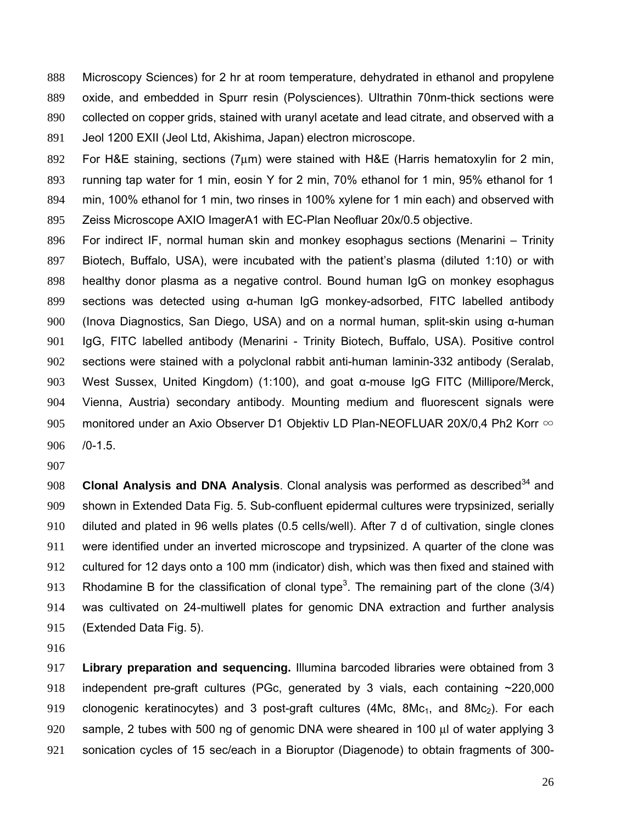Microscopy Sciences) for 2 hr at room temperature, dehydrated in ethanol and propylene oxide, and embedded in Spurr resin (Polysciences). Ultrathin 70nm-thick sections were collected on copper grids, stained with uranyl acetate and lead citrate, and observed with a Jeol 1200 EXII (Jeol Ltd, Akishima, Japan) electron microscope.

892 For H&E staining, sections ( $7\mu$ m) were stained with H&E (Harris hematoxylin for 2 min, running tap water for 1 min, eosin Y for 2 min, 70% ethanol for 1 min, 95% ethanol for 1 min, 100% ethanol for 1 min, two rinses in 100% xylene for 1 min each) and observed with Zeiss Microscope AXIO ImagerA1 with EC-Plan Neofluar 20x/0.5 objective.

For indirect IF, normal human skin and monkey esophagus sections (Menarini – Trinity Biotech, Buffalo, USA), were incubated with the patient's plasma (diluted 1:10) or with healthy donor plasma as a negative control. Bound human IgG on monkey esophagus sections was detected using α-human IgG monkey-adsorbed, FITC labelled antibody (Inova Diagnostics, San Diego, USA) and on a normal human, split-skin using α-human IgG, FITC labelled antibody (Menarini - Trinity Biotech, Buffalo, USA). Positive control sections were stained with a polyclonal rabbit anti-human laminin-332 antibody (Seralab, West Sussex, United Kingdom) (1:100), and goat α-mouse IgG FITC (Millipore/Merck, Vienna, Austria) secondary antibody. Mounting medium and fluorescent signals were 905 monitored under an Axio Observer D1 Objektiv LD Plan-NEOFLUAR 20X/0,4 Ph2 Korr ∞ /0-1.5.

**Clonal Analysis and DNA Analysis**. Clonal analysis was performed as described<sup>34</sup> and shown in Extended Data Fig. 5. Sub-confluent epidermal cultures were trypsinized, serially diluted and plated in 96 wells plates (0.5 cells/well). After 7 d of cultivation, single clones were identified under an inverted microscope and trypsinized. A quarter of the clone was cultured for 12 days onto a 100 mm (indicator) dish, which was then fixed and stained with 913 Rhodamine B for the classification of clonal type<sup>3</sup>. The remaining part of the clone (3/4) was cultivated on 24-multiwell plates for genomic DNA extraction and further analysis (Extended Data Fig. 5).

**Library preparation and sequencing.** Illumina barcoded libraries were obtained from 3 918 independent pre-graft cultures (PGc, generated by 3 vials, each containing ~220,000 919 clonogenic keratinocytes) and 3 post-graft cultures (4Mc,  $8Mc_1$ , and  $8Mc_2$ ). For each sample, 2 tubes with 500 ng of genomic DNA were sheared in 100 μl of water applying 3 sonication cycles of 15 sec/each in a Bioruptor (Diagenode) to obtain fragments of 300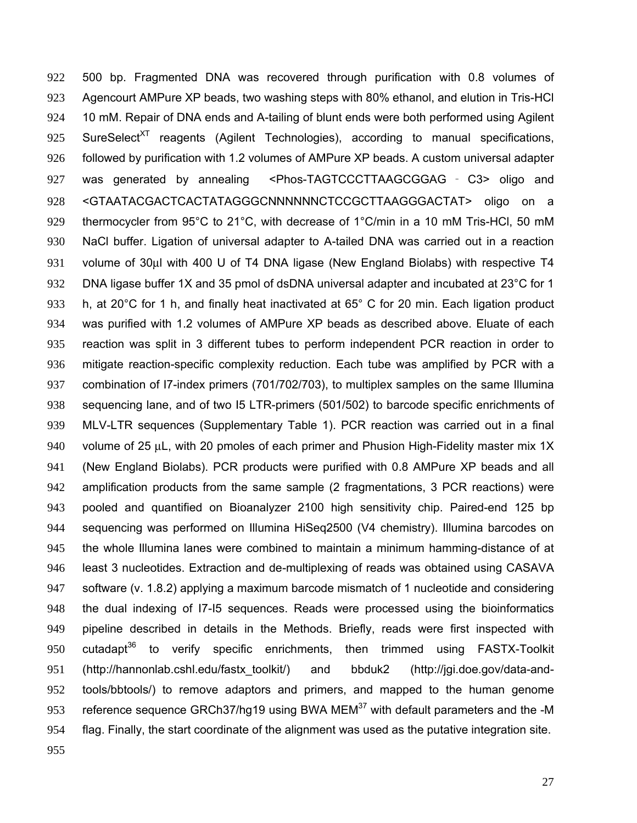500 bp. Fragmented DNA was recovered through purification with 0.8 volumes of Agencourt AMPure XP beads, two washing steps with 80% ethanol, and elution in Tris-HCl 10 mM. Repair of DNA ends and A-tailing of blunt ends were both performed using Agilent 925 SureSelect<sup>XT</sup> reagents (Agilent Technologies), according to manual specifications, followed by purification with 1.2 volumes of AMPure XP beads. A custom universal adapter was generated by annealing <Phos-TAGTCCCTTAAGCGGAG ‐ C3> oligo and <GTAATACGACTCACTATAGGGCNNNNNNCTCCGCTTAAGGGACTAT> oligo on a thermocycler from 95°C to 21°C, with decrease of 1°C/min in a 10 mM Tris-HCl, 50 mM NaCl buffer. Ligation of universal adapter to A-tailed DNA was carried out in a reaction volume of 30μl with 400 U of T4 DNA ligase (New England Biolabs) with respective T4 DNA ligase buffer 1X and 35 pmol of dsDNA universal adapter and incubated at 23°C for 1 h, at 20°C for 1 h, and finally heat inactivated at 65° C for 20 min. Each ligation product was purified with 1.2 volumes of AMPure XP beads as described above. Eluate of each reaction was split in 3 different tubes to perform independent PCR reaction in order to mitigate reaction-specific complexity reduction. Each tube was amplified by PCR with a combination of I7-index primers (701/702/703), to multiplex samples on the same Illumina sequencing lane, and of two I5 LTR-primers (501/502) to barcode specific enrichments of MLV-LTR sequences (Supplementary Table 1). PCR reaction was carried out in a final volume of 25 μL, with 20 pmoles of each primer and Phusion High-Fidelity master mix 1X (New England Biolabs). PCR products were purified with 0.8 AMPure XP beads and all amplification products from the same sample (2 fragmentations, 3 PCR reactions) were pooled and quantified on Bioanalyzer 2100 high sensitivity chip. Paired-end 125 bp sequencing was performed on Illumina HiSeq2500 (V4 chemistry). Illumina barcodes on the whole Illumina lanes were combined to maintain a minimum hamming-distance of at least 3 nucleotides. Extraction and de-multiplexing of reads was obtained using CASAVA 947 software (v. 1.8.2) applying a maximum barcode mismatch of 1 nucleotide and considering the dual indexing of I7-I5 sequences. Reads were processed using the bioinformatics pipeline described in details in the Methods. Briefly, reads were first inspected with 950 cutadapt<sup>36</sup> to verify specific enrichments, then trimmed using FASTX-Toolkit (http://hannonlab.cshl.edu/fastx\_toolkit/) and bbduk2 (http://jgi.doe.gov/data-and-tools/bbtools/) to remove adaptors and primers, and mapped to the human genome 953 reference sequence GRCh37/hg19 using BWA MEM with default parameters and the -M flag. Finally, the start coordinate of the alignment was used as the putative integration site.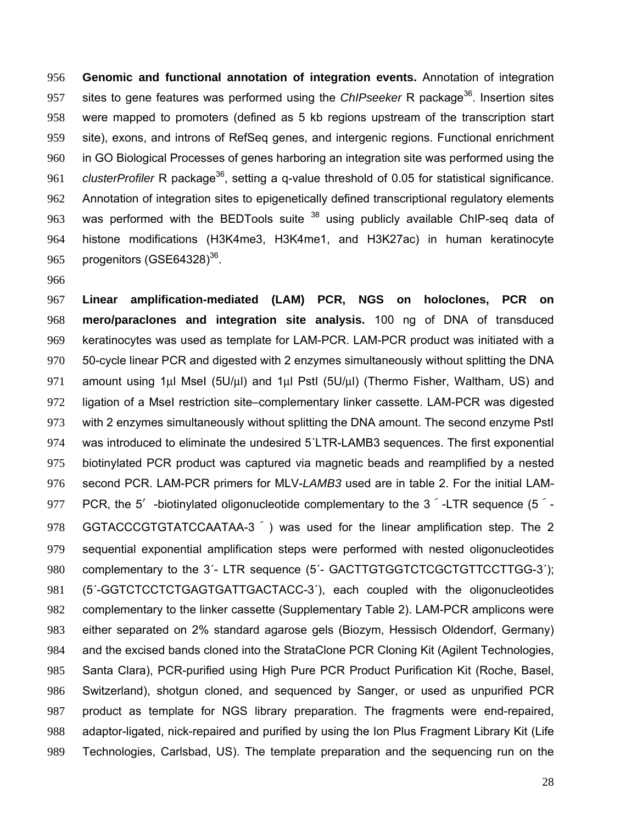**Genomic and functional annotation of integration events.** Annotation of integration 957 sites to gene features was performed using the *ChIPseeker* R package<sup>36</sup>. Insertion sites were mapped to promoters (defined as 5 kb regions upstream of the transcription start site), exons, and introns of RefSeq genes, and intergenic regions. Functional enrichment in GO Biological Processes of genes harboring an integration site was performed using the 961 clusterProfiler R package<sup>36</sup>, setting a g-value threshold of 0.05 for statistical significance. Annotation of integration sites to epigenetically defined transcriptional regulatory elements 963 was performed with the BEDTools suite using publicly available ChIP-seq data of histone modifications (H3K4me3, H3K4me1, and H3K27ac) in human keratinocyte 965 progenitors (GSE64328).

**Linear amplification-mediated (LAM) PCR, NGS on holoclones, PCR on mero/paraclones and integration site analysis.** 100 ng of DNA of transduced keratinocytes was used as template for LAM-PCR. LAM-PCR product was initiated with a 50-cycle linear PCR and digested with 2 enzymes simultaneously without splitting the DNA 971 amount using 1µl Msel ( $5U/\mu$ I) and 1µl Pstl ( $5U/\mu$ I) (Thermo Fisher, Waltham, US) and ligation of a MseI restriction site–complementary linker cassette. LAM-PCR was digested with 2 enzymes simultaneously without splitting the DNA amount. The second enzyme PstI was introduced to eliminate the undesired 5´LTR-LAMB3 sequences. The first exponential biotinylated PCR product was captured via magnetic beads and reamplified by a nested second PCR. LAM-PCR primers for MLV-*LAMB3* used are in table 2. For the initial LAM-977 PCR, the 5<sup> $\prime$ </sup>-biotinylated oligonucleotide complementary to the 3<sup> $\degree$ </sup>-LTR sequence (5<sup> $\degree$ </sup>-978 GGTACCCGTGTATCCAATAA-3<sup>7</sup>) was used for the linear amplification step. The 2 sequential exponential amplification steps were performed with nested oligonucleotides 980 complementary to the 3<sup>-</sup> LTR sequence (5<sup>-</sup> GACTTGTGGTCTCGCTGTTCCTTGG-3<sup>-</sup>); (5´-GGTCTCCTCTGAGTGATTGACTACC-3´), each coupled with the oligonucleotides complementary to the linker cassette (Supplementary Table 2). LAM-PCR amplicons were either separated on 2% standard agarose gels (Biozym, Hessisch Oldendorf, Germany) and the excised bands cloned into the StrataClone PCR Cloning Kit (Agilent Technologies, Santa Clara), PCR-purified using High Pure PCR Product Purification Kit (Roche, Basel, Switzerland), shotgun cloned, and sequenced by Sanger, or used as unpurified PCR product as template for NGS library preparation. The fragments were end-repaired, adaptor-ligated, nick-repaired and purified by using the Ion Plus Fragment Library Kit (Life Technologies, Carlsbad, US). The template preparation and the sequencing run on the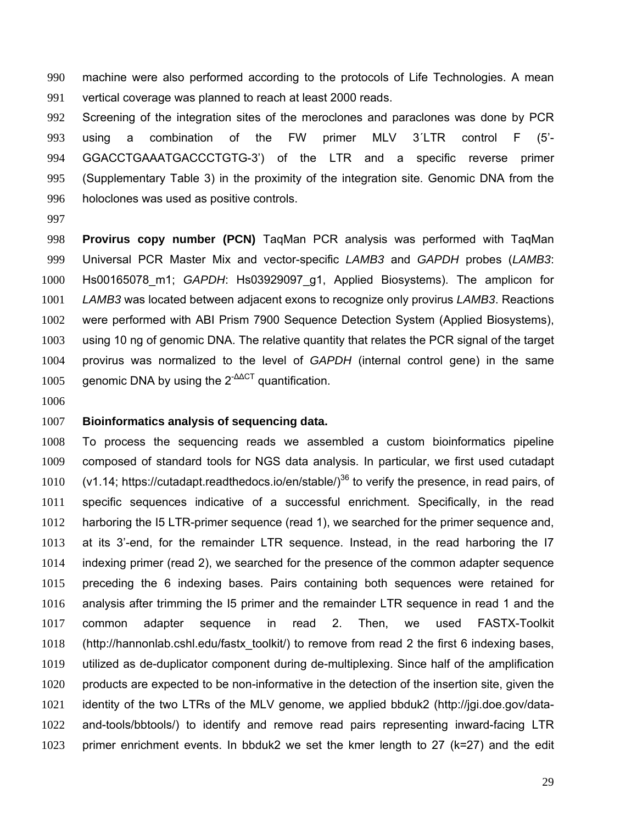machine were also performed according to the protocols of Life Technologies. A mean vertical coverage was planned to reach at least 2000 reads.

Screening of the integration sites of the meroclones and paraclones was done by PCR using a combination of the FW primer MLV 3´LTR control F (5'- GGACCTGAAATGACCCTGTG-3') of the LTR and a specific reverse primer (Supplementary Table 3) in the proximity of the integration site. Genomic DNA from the holoclones was used as positive controls.

**Provirus copy number (PCN)** TaqMan PCR analysis was performed with TaqMan Universal PCR Master Mix and vector-specific *LAMB3* and *GAPDH* probes (*LAMB3*: Hs00165078\_m1; *GAPDH*: Hs03929097\_g1, Applied Biosystems). The amplicon for *LAMB3* was located between adjacent exons to recognize only provirus *LAMB3*. Reactions were performed with ABI Prism 7900 Sequence Detection System (Applied Biosystems), using 10 ng of genomic DNA. The relative quantity that relates the PCR signal of the target provirus was normalized to the level of *GAPDH* (internal control gene) in the same 1005 genomic DNA by using the  $2^{-\Delta\Delta}$  quantification.

#### **Bioinformatics analysis of sequencing data.**

To process the sequencing reads we assembled a custom bioinformatics pipeline composed of standard tools for NGS data analysis. In particular, we first used cutadapt 1010 (v1.14; https://cutadapt.readthedocs.io/en/stable/)<sup>36</sup> to verify the presence, in read pairs, of specific sequences indicative of a successful enrichment. Specifically, in the read harboring the I5 LTR-primer sequence (read 1), we searched for the primer sequence and, at its 3'-end, for the remainder LTR sequence. Instead, in the read harboring the I7 indexing primer (read 2), we searched for the presence of the common adapter sequence preceding the 6 indexing bases. Pairs containing both sequences were retained for analysis after trimming the I5 primer and the remainder LTR sequence in read 1 and the common adapter sequence in read 2. Then, we used FASTX-Toolkit (http://hannonlab.cshl.edu/fastx\_toolkit/) to remove from read 2 the first 6 indexing bases, utilized as de-duplicator component during de-multiplexing. Since half of the amplification products are expected to be non-informative in the detection of the insertion site, given the identity of the two LTRs of the MLV genome, we applied bbduk2 (http://jgi.doe.gov/data-and-tools/bbtools/) to identify and remove read pairs representing inward-facing LTR primer enrichment events. In bbduk2 we set the kmer length to 27 (k=27) and the edit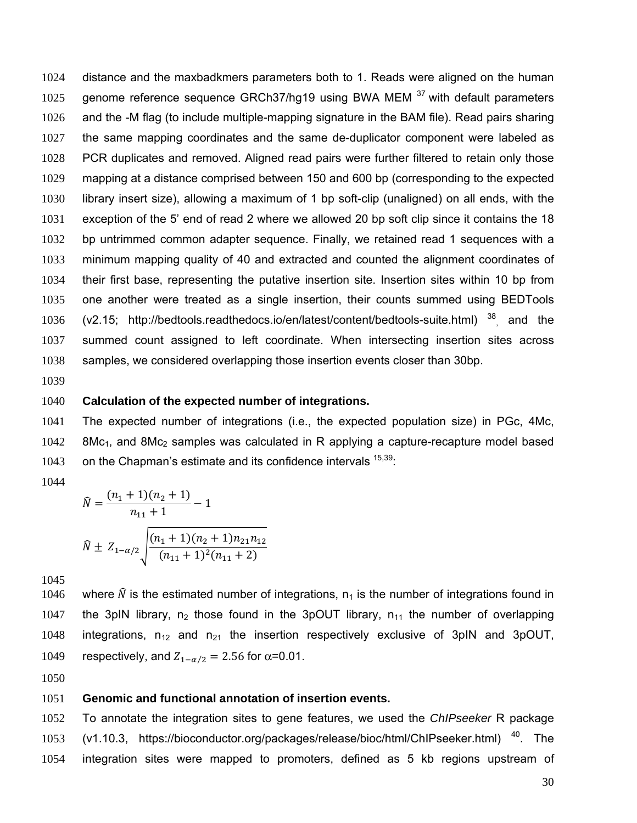distance and the maxbadkmers parameters both to 1. Reads were aligned on the human 1025 genome reference sequence GRCh37/hg19 using BWA MEM  $37$  with default parameters and the -M flag (to include multiple-mapping signature in the BAM file). Read pairs sharing the same mapping coordinates and the same de-duplicator component were labeled as PCR duplicates and removed. Aligned read pairs were further filtered to retain only those mapping at a distance comprised between 150 and 600 bp (corresponding to the expected library insert size), allowing a maximum of 1 bp soft-clip (unaligned) on all ends, with the exception of the 5' end of read 2 where we allowed 20 bp soft clip since it contains the 18 1032 bp untrimmed common adapter sequence. Finally, we retained read 1 sequences with a minimum mapping quality of 40 and extracted and counted the alignment coordinates of their first base, representing the putative insertion site. Insertion sites within 10 bp from one another were treated as a single insertion, their counts summed using BEDTools 1036 (v2.15; http://bedtools.readthedocs.io/en/latest/content/bedtools-suite.html) and the summed count assigned to left coordinate. When intersecting insertion sites across samples, we considered overlapping those insertion events closer than 30bp.

### **Calculation of the expected number of integrations.**

The expected number of integrations (i.e., the expected population size) in PGc, 4Mc, 8Mc<sub>1</sub>, and 8Mc<sub>2</sub> samples was calculated in R applying a capture-recapture model based 1043 on the Chapman's estimate and its confidence intervals  $15,39$ .

$$
\widehat{N} = \frac{(n_1 + 1)(n_2 + 1)}{n_{11} + 1} - 1
$$
\n
$$
\widehat{N} \pm Z_{1-\alpha/2} \sqrt{\frac{(n_1 + 1)(n_2 + 1)n_{21}n_{12}}{(n_{11} + 1)^2(n_{11} + 2)}}
$$

1046 where  $\hat{N}$  is the estimated number of integrations,  $n_1$  is the number of integrations found in 1047 the 3pIN library,  $n_2$  those found in the 3pOUT library,  $n_{11}$  the number of overlapping 1048 integrations,  $n_{12}$  and  $n_{21}$  the insertion respectively exclusive of 3pIN and 3pOUT, 1049 respectively, and  $Z_{1-\alpha/2} = 2.56$  for  $\alpha = 0.01$ .

### **Genomic and functional annotation of insertion events.**

To annotate the integration sites to gene features, we used the *ChIPseeker* R package 1053 (v1.10.3, https://bioconductor.org/packages/release/bioc/html/ChIPseeker.html)<sup>40</sup>. The integration sites were mapped to promoters, defined as 5 kb regions upstream of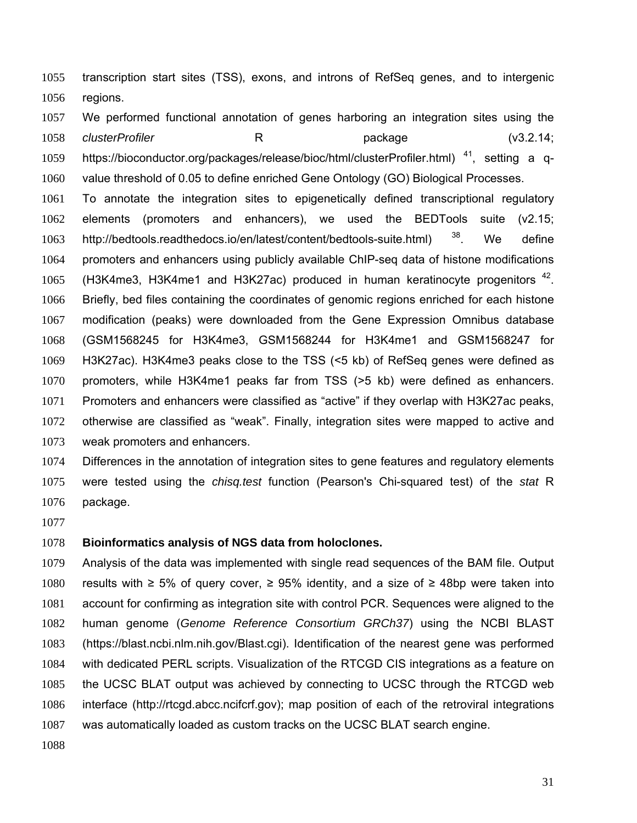transcription start sites (TSS), exons, and introns of RefSeq genes, and to intergenic regions.

We performed functional annotation of genes harboring an integration sites using the *clusterProfiler* R package (v3.2.14; https://bioconductor.org/packages/release/bioc/html/clusterProfiler.html)<sup>41</sup>, setting a q-value threshold of 0.05 to define enriched Gene Ontology (GO) Biological Processes.

To annotate the integration sites to epigenetically defined transcriptional regulatory elements (promoters and enhancers), we used the BEDTools suite (v2.15; 1063 http://bedtools.readthedocs.io/en/latest/content/bedtools-suite.html) <sup>38</sup>. We define promoters and enhancers using publicly available ChIP-seq data of histone modifications 1065 (H3K4me3, H3K4me1 and H3K27ac) produced in human keratinocyte progenitors . Briefly, bed files containing the coordinates of genomic regions enriched for each histone modification (peaks) were downloaded from the Gene Expression Omnibus database (GSM1568245 for H3K4me3, GSM1568244 for H3K4me1 and GSM1568247 for H3K27ac). H3K4me3 peaks close to the TSS (<5 kb) of RefSeq genes were defined as promoters, while H3K4me1 peaks far from TSS (>5 kb) were defined as enhancers. Promoters and enhancers were classified as "active" if they overlap with H3K27ac peaks, otherwise are classified as "weak". Finally, integration sites were mapped to active and weak promoters and enhancers.

Differences in the annotation of integration sites to gene features and regulatory elements were tested using the *chisq.test* function (Pearson's Chi-squared test) of the *stat* R package.

### **Bioinformatics analysis of NGS data from holoclones.**

Analysis of the data was implemented with single read sequences of the BAM file. Output 1080 results with ≥ 5% of query cover,  $\ge$  95% identity, and a size of  $\ge$  48bp were taken into account for confirming as integration site with control PCR. Sequences were aligned to the human genome (*Genome Reference Consortium GRCh37*) using the NCBI BLAST (https://blast.ncbi.nlm.nih.gov/Blast.cgi). Identification of the nearest gene was performed with dedicated PERL scripts. Visualization of the RTCGD CIS integrations as a feature on the UCSC BLAT output was achieved by connecting to UCSC through the RTCGD web interface (http://rtcgd.abcc.ncifcrf.gov); map position of each of the retroviral integrations was automatically loaded as custom tracks on the UCSC BLAT search engine.